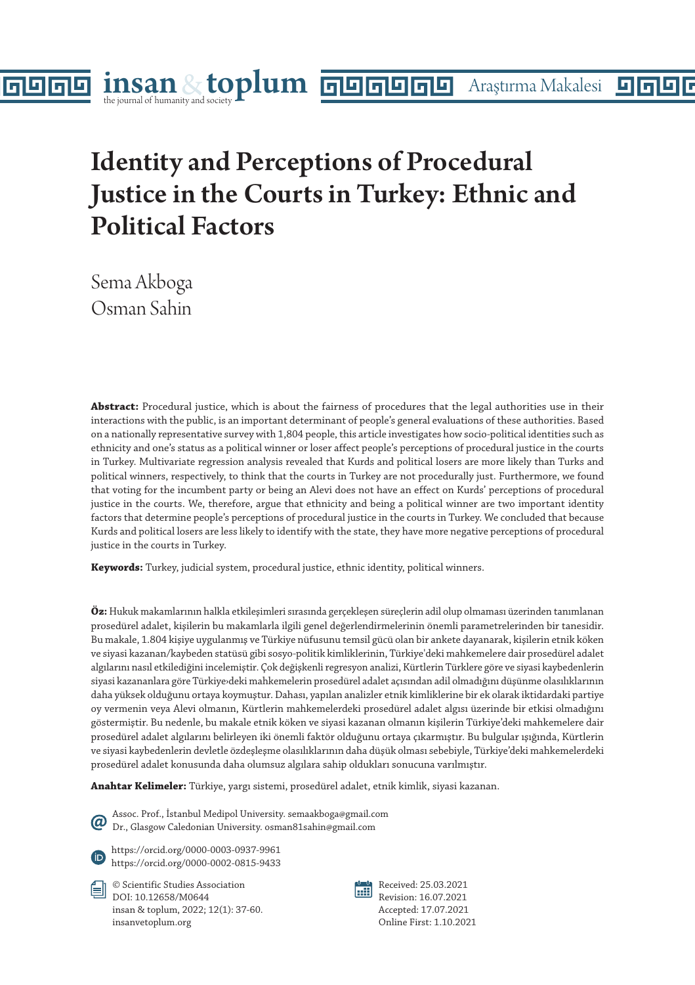# Identity and Perceptions of Procedural Justice in the Courts in Turkey: Ethnic and Political Factors

Sema Akboga Osman Sahin

п

नान

**Abstract:** Procedural justice, which is about the fairness of procedures that the legal authorities use in their interactions with the public, is an important determinant of people's general evaluations of these authorities. Based on a nationally representative survey with 1,804 people, this article investigates how socio-political identities such as ethnicity and one's status as a political winner or loser affect people's perceptions of procedural justice in the courts in Turkey. Multivariate regression analysis revealed that Kurds and political losers are more likely than Turks and political winners, respectively, to think that the courts in Turkey are not procedurally just. Furthermore, we found that voting for the incumbent party or being an Alevi does not have an effect on Kurds' perceptions of procedural justice in the courts. We, therefore, argue that ethnicity and being a political winner are two important identity factors that determine people's perceptions of procedural justice in the courts in Turkey. We concluded that because Kurds and political losers are less likely to identify with the state, they have more negative perceptions of procedural justice in the courts in Turkey.

**Keywords:** Turkey, judicial system, procedural justice, ethnic identity, political winners.

**Öz:** Hukuk makamlarının halkla etkileşimleri sırasında gerçekleşen süreçlerin adil olup olmaması üzerinden tanımlanan prosedürel adalet, kişilerin bu makamlarla ilgili genel değerlendirmelerinin önemli parametrelerinden bir tanesidir. Bu makale, 1.804 kişiye uygulanmış ve Türkiye nüfusunu temsil gücü olan bir ankete dayanarak, kişilerin etnik köken ve siyasi kazanan/kaybeden statüsü gibi sosyo-politik kimliklerinin, Türkiye'deki mahkemelere dair prosedürel adalet algılarını nasıl etkilediğini incelemiştir. Çok değişkenli regresyon analizi, Kürtlerin Türklere göre ve siyasi kaybedenlerin siyasi kazananlara göre Türkiye›deki mahkemelerin prosedürel adalet açısından adil olmadığını düşünme olasılıklarının daha yüksek olduğunu ortaya koymuştur. Dahası, yapılan analizler etnik kimliklerine bir ek olarak iktidardaki partiye oy vermenin veya Alevi olmanın, Kürtlerin mahkemelerdeki prosedürel adalet algısı üzerinde bir etkisi olmadığını göstermiştir. Bu nedenle, bu makale etnik köken ve siyasi kazanan olmanın kişilerin Türkiye'deki mahkemelere dair prosedürel adalet algılarını belirleyen iki önemli faktör olduğunu ortaya çıkarmıştır. Bu bulgular ışığında, Kürtlerin ve siyasi kaybedenlerin devletle özdeşleşme olasılıklarının daha düşük olması sebebiyle, Türkiye'deki mahkemelerdeki prosedürel adalet konusunda daha olumsuz algılara sahip oldukları sonucuna varılmıştır.

**Anahtar Kelimeler:** Türkiye, yargı sistemi, prosedürel adalet, etnik kimlik, siyasi kazanan.

Assoc. Prof., İstanbul Medipol University. semaakboga@gmail.com ω Dr., Glasgow Caledonian University. osman81sahin@gmail.com

https://orcid.org/0000-0003-0937-9961 https://orcid.org/0000-0002-0815-9433

© Scientific Studies Association DOI: 10.12658/M0644 insan & toplum, 2022; 12(1): 37-60. insanvetoplum.org



Received: 25.03.2021 Revision: 16.07.2021 Accepted: 17.07.2021 Online First: 1.10.2021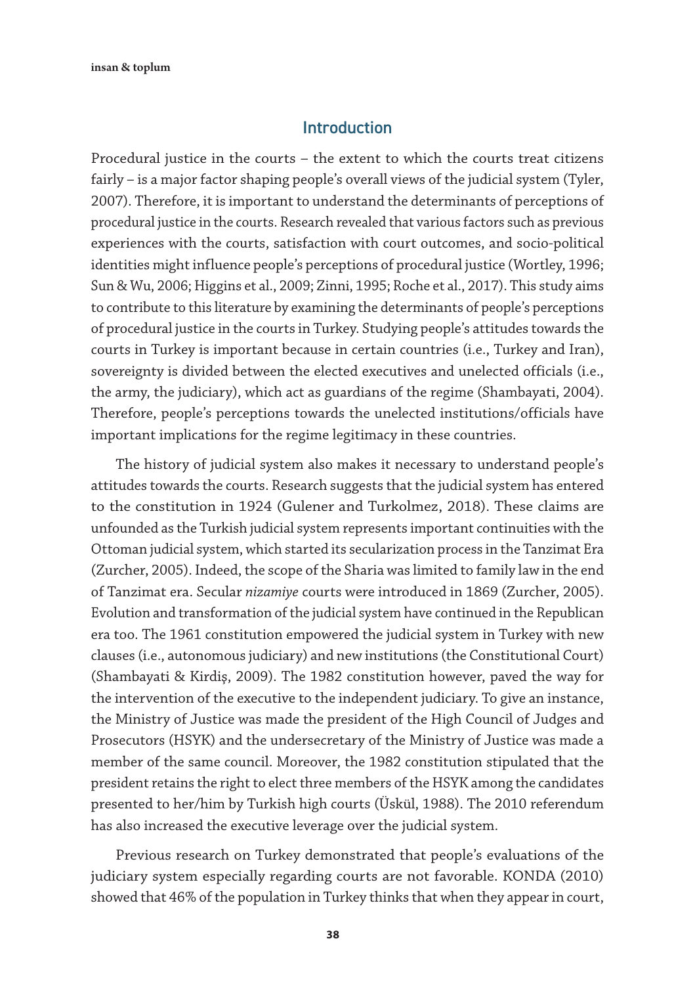#### Introduction

Procedural justice in the courts – the extent to which the courts treat citizens fairly – is a major factor shaping people's overall views of the judicial system (Tyler, 2007). Therefore, it is important to understand the determinants of perceptions of procedural justice in the courts. Research revealed that various factors such as previous experiences with the courts, satisfaction with court outcomes, and socio-political identities might influence people's perceptions of procedural justice (Wortley, 1996; Sun & Wu, 2006; Higgins et al., 2009; Zinni, 1995; Roche et al., 2017). This study aims to contribute to this literature by examining the determinants of people's perceptions of procedural justice in the courts in Turkey. Studying people's attitudes towards the courts in Turkey is important because in certain countries (i.e., Turkey and Iran), sovereignty is divided between the elected executives and unelected officials (i.e., the army, the judiciary), which act as guardians of the regime (Shambayati, 2004). Therefore, people's perceptions towards the unelected institutions/officials have important implications for the regime legitimacy in these countries.

The history of judicial system also makes it necessary to understand people's attitudes towards the courts. Research suggests that the judicial system has entered to the constitution in 1924 (Gulener and Turkolmez, 2018). These claims are unfounded as the Turkish judicial system represents important continuities with the Ottoman judicial system, which started its secularization process in the Tanzimat Era (Zurcher, 2005). Indeed, the scope of the Sharia was limited to family law in the end of Tanzimat era. Secular *nizamiye* courts were introduced in 1869 (Zurcher, 2005). Evolution and transformation of the judicial system have continued in the Republican era too. The 1961 constitution empowered the judicial system in Turkey with new clauses (i.e., autonomous judiciary) and new institutions (the Constitutional Court) (Shambayati & Kirdiş, 2009). The 1982 constitution however, paved the way for the intervention of the executive to the independent judiciary. To give an instance, the Ministry of Justice was made the president of the High Council of Judges and Prosecutors (HSYK) and the undersecretary of the Ministry of Justice was made a member of the same council. Moreover, the 1982 constitution stipulated that the president retains the right to elect three members of the HSYK among the candidates presented to her/him by Turkish high courts (Üskül, 1988). The 2010 referendum has also increased the executive leverage over the judicial system.

Previous research on Turkey demonstrated that people's evaluations of the judiciary system especially regarding courts are not favorable. KONDA (2010) showed that 46% of the population in Turkey thinks that when they appear in court,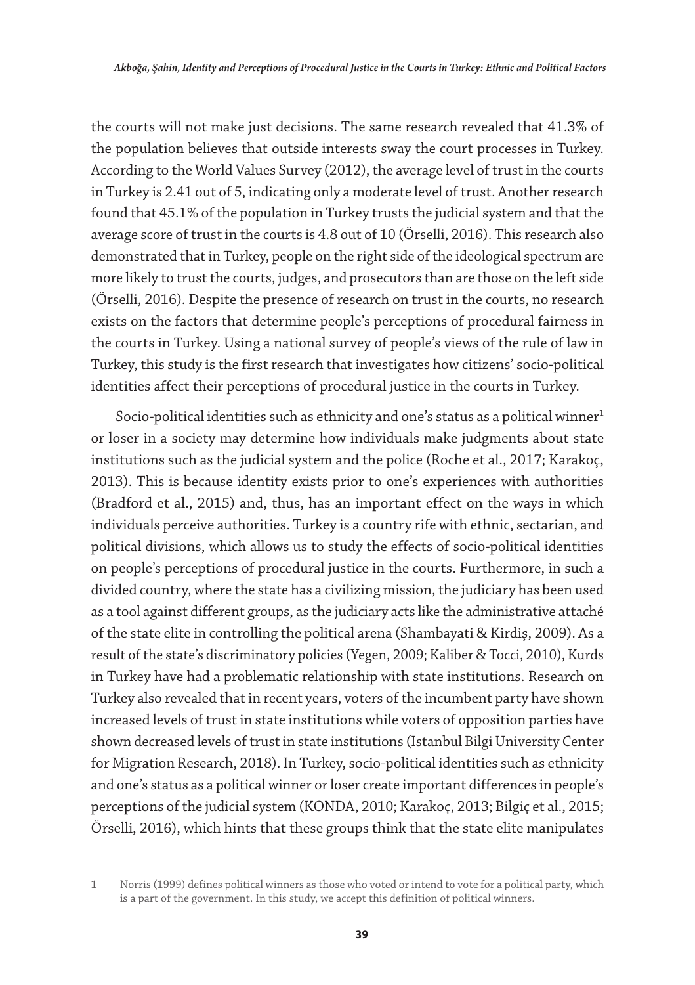the courts will not make just decisions. The same research revealed that 41.3% of the population believes that outside interests sway the court processes in Turkey. According to the World Values Survey (2012), the average level of trust in the courts in Turkey is 2.41 out of 5, indicating only a moderate level of trust. Another research found that 45.1% of the population in Turkey trusts the judicial system and that the average score of trust in the courts is 4.8 out of 10 (Örselli, 2016). This research also demonstrated that in Turkey, people on the right side of the ideological spectrum are more likely to trust the courts, judges, and prosecutors than are those on the left side (Örselli, 2016). Despite the presence of research on trust in the courts, no research exists on the factors that determine people's perceptions of procedural fairness in the courts in Turkey. Using a national survey of people's views of the rule of law in Turkey, this study is the first research that investigates how citizens' socio-political identities affect their perceptions of procedural justice in the courts in Turkey.

Socio-political identities such as ethnicity and one's status as a political winner $1$ or loser in a society may determine how individuals make judgments about state institutions such as the judicial system and the police (Roche et al., 2017; Karakoç, 2013). This is because identity exists prior to one's experiences with authorities (Bradford et al., 2015) and, thus, has an important effect on the ways in which individuals perceive authorities. Turkey is a country rife with ethnic, sectarian, and political divisions, which allows us to study the effects of socio-political identities on people's perceptions of procedural justice in the courts. Furthermore, in such a divided country, where the state has a civilizing mission, the judiciary has been used as a tool against different groups, as the judiciary acts like the administrative attaché of the state elite in controlling the political arena (Shambayati & Kirdiş, 2009). As a result of the state's discriminatory policies (Yegen, 2009; Kaliber & Tocci, 2010), Kurds in Turkey have had a problematic relationship with state institutions. Research on Turkey also revealed that in recent years, voters of the incumbent party have shown increased levels of trust in state institutions while voters of opposition parties have shown decreased levels of trust in state institutions (Istanbul Bilgi University Center for Migration Research, 2018). In Turkey, socio-political identities such as ethnicity and one's status as a political winner or loser create important differences in people's perceptions of the judicial system (KONDA, 2010; Karakoç, 2013; Bilgiç et al., 2015; Örselli, 2016), which hints that these groups think that the state elite manipulates

<sup>1</sup> Norris (1999) defines political winners as those who voted or intend to vote for a political party, which is a part of the government. In this study, we accept this definition of political winners.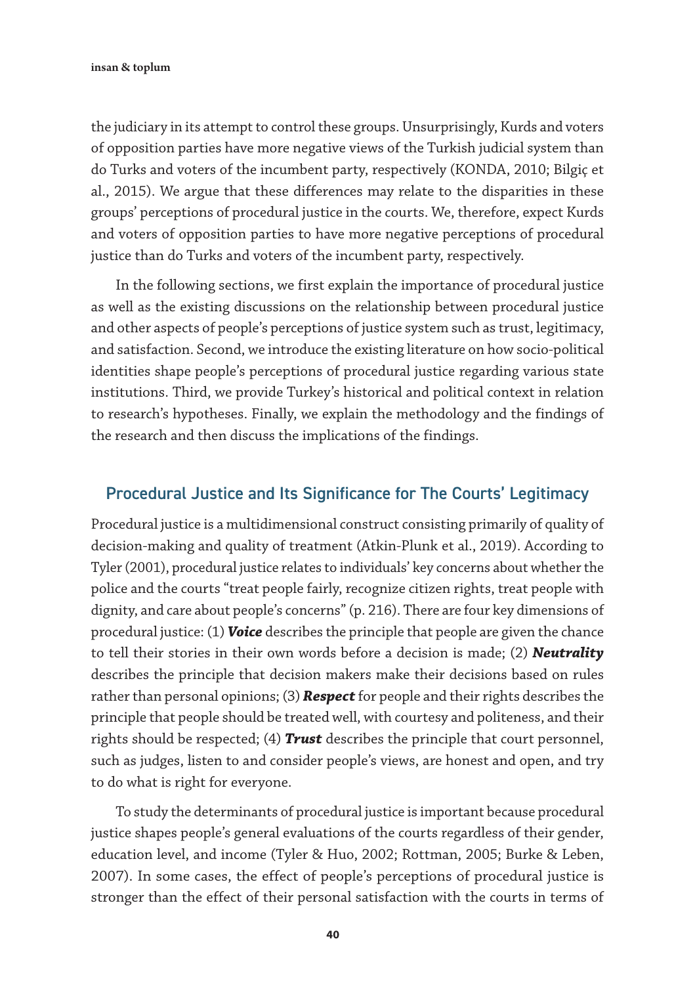the judiciary in its attempt to control these groups. Unsurprisingly, Kurds and voters of opposition parties have more negative views of the Turkish judicial system than do Turks and voters of the incumbent party, respectively (KONDA, 2010; Bilgiç et al., 2015). We argue that these differences may relate to the disparities in these groups' perceptions of procedural justice in the courts. We, therefore, expect Kurds and voters of opposition parties to have more negative perceptions of procedural justice than do Turks and voters of the incumbent party, respectively.

In the following sections, we first explain the importance of procedural justice as well as the existing discussions on the relationship between procedural justice and other aspects of people's perceptions of justice system such as trust, legitimacy, and satisfaction. Second, we introduce the existing literature on how socio-political identities shape people's perceptions of procedural justice regarding various state institutions. Third, we provide Turkey's historical and political context in relation to research's hypotheses. Finally, we explain the methodology and the findings of the research and then discuss the implications of the findings.

#### Procedural Justice and Its Significance for The Courts' Legitimacy

Procedural justice is a multidimensional construct consisting primarily of quality of decision-making and quality of treatment (Atkin-Plunk et al., 2019). According to Tyler (2001), procedural justice relates to individuals' key concerns about whether the police and the courts "treat people fairly, recognize citizen rights, treat people with dignity, and care about people's concerns" (p. 216). There are four key dimensions of procedural justice: (1) *Voice* describes the principle that people are given the chance to tell their stories in their own words before a decision is made; (2) *Neutrality* describes the principle that decision makers make their decisions based on rules rather than personal opinions; (3) *Respect* for people and their rights describes the principle that people should be treated well, with courtesy and politeness, and their rights should be respected; (4) *Trust* describes the principle that court personnel, such as judges, listen to and consider people's views, are honest and open, and try to do what is right for everyone.

To study the determinants of procedural justice is important because procedural justice shapes people's general evaluations of the courts regardless of their gender, education level, and income (Tyler & Huo, 2002; Rottman, 2005; Burke & Leben, 2007). In some cases, the effect of people's perceptions of procedural justice is stronger than the effect of their personal satisfaction with the courts in terms of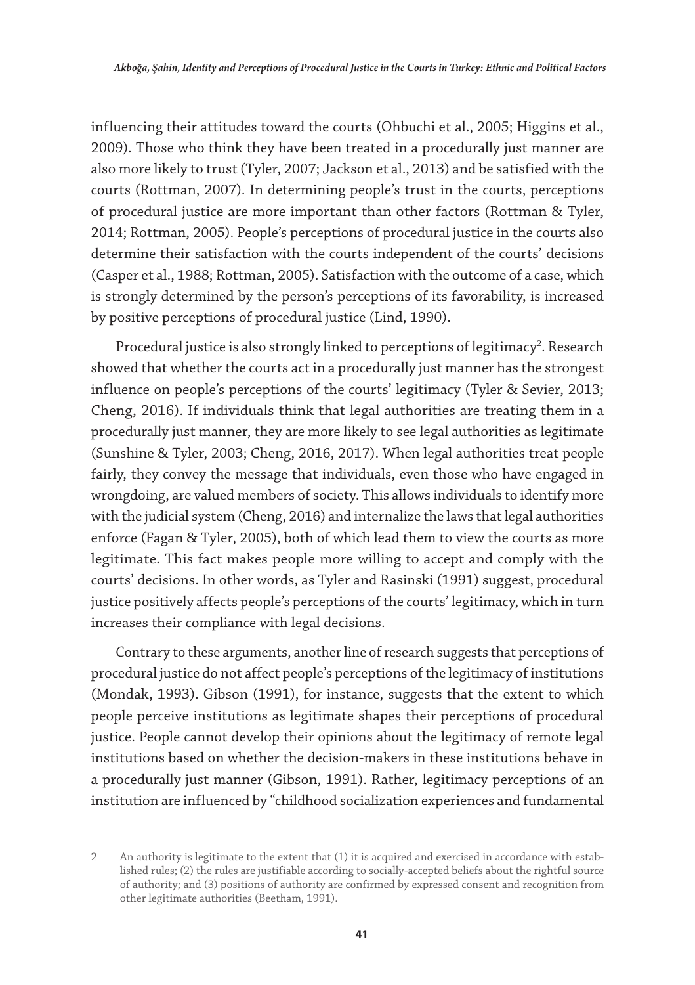influencing their attitudes toward the courts (Ohbuchi et al., 2005; Higgins et al., 2009). Those who think they have been treated in a procedurally just manner are also more likely to trust (Tyler, 2007; Jackson et al., 2013) and be satisfied with the courts (Rottman, 2007). In determining people's trust in the courts, perceptions of procedural justice are more important than other factors (Rottman & Tyler, 2014; Rottman, 2005). People's perceptions of procedural justice in the courts also determine their satisfaction with the courts independent of the courts' decisions (Casper et al., 1988; Rottman, 2005). Satisfaction with the outcome of a case, which is strongly determined by the person's perceptions of its favorability, is increased by positive perceptions of procedural justice (Lind, 1990).

Procedural justice is also strongly linked to perceptions of legitimacy<sup>2</sup>. Research showed that whether the courts act in a procedurally just manner has the strongest influence on people's perceptions of the courts' legitimacy (Tyler & Sevier, 2013; Cheng, 2016). If individuals think that legal authorities are treating them in a procedurally just manner, they are more likely to see legal authorities as legitimate (Sunshine & Tyler, 2003; Cheng, 2016, 2017). When legal authorities treat people fairly, they convey the message that individuals, even those who have engaged in wrongdoing, are valued members of society. This allows individuals to identify more with the judicial system (Cheng, 2016) and internalize the laws that legal authorities enforce (Fagan & Tyler, 2005), both of which lead them to view the courts as more legitimate. This fact makes people more willing to accept and comply with the courts' decisions. In other words, as Tyler and Rasinski (1991) suggest, procedural justice positively affects people's perceptions of the courts' legitimacy, which in turn increases their compliance with legal decisions.

Contrary to these arguments, another line of research suggests that perceptions of procedural justice do not affect people's perceptions of the legitimacy of institutions (Mondak, 1993). Gibson (1991), for instance, suggests that the extent to which people perceive institutions as legitimate shapes their perceptions of procedural justice. People cannot develop their opinions about the legitimacy of remote legal institutions based on whether the decision-makers in these institutions behave in a procedurally just manner (Gibson, 1991). Rather, legitimacy perceptions of an institution are influenced by "childhood socialization experiences and fundamental

<sup>2</sup> An authority is legitimate to the extent that (1) it is acquired and exercised in accordance with established rules; (2) the rules are justifiable according to socially-accepted beliefs about the rightful source of authority; and (3) positions of authority are confirmed by expressed consent and recognition from other legitimate authorities (Beetham, 1991).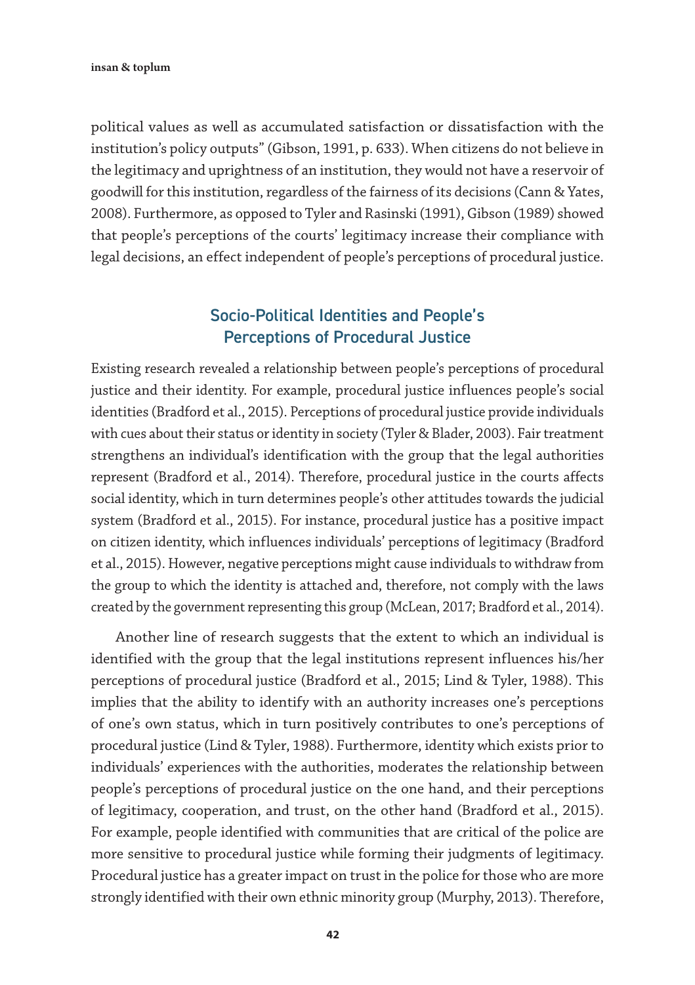political values as well as accumulated satisfaction or dissatisfaction with the institution's policy outputs" (Gibson, 1991, p. 633). When citizens do not believe in the legitimacy and uprightness of an institution, they would not have a reservoir of goodwill for this institution, regardless of the fairness of its decisions (Cann & Yates, 2008). Furthermore, as opposed to Tyler and Rasinski (1991), Gibson (1989) showed that people's perceptions of the courts' legitimacy increase their compliance with legal decisions, an effect independent of people's perceptions of procedural justice.

# Socio-Political Identities and People's Perceptions of Procedural Justice

Existing research revealed a relationship between people's perceptions of procedural justice and their identity. For example, procedural justice influences people's social identities (Bradford et al., 2015). Perceptions of procedural justice provide individuals with cues about their status or identity in society (Tyler & Blader, 2003). Fair treatment strengthens an individual's identification with the group that the legal authorities represent (Bradford et al., 2014). Therefore, procedural justice in the courts affects social identity, which in turn determines people's other attitudes towards the judicial system (Bradford et al., 2015). For instance, procedural justice has a positive impact on citizen identity, which influences individuals' perceptions of legitimacy (Bradford et al., 2015). However, negative perceptions might cause individuals to withdraw from the group to which the identity is attached and, therefore, not comply with the laws created by the government representing this group (McLean, 2017; Bradford et al., 2014).

Another line of research suggests that the extent to which an individual is identified with the group that the legal institutions represent influences his/her perceptions of procedural justice (Bradford et al., 2015; Lind & Tyler, 1988). This implies that the ability to identify with an authority increases one's perceptions of one's own status, which in turn positively contributes to one's perceptions of procedural justice (Lind & Tyler, 1988). Furthermore, identity which exists prior to individuals' experiences with the authorities, moderates the relationship between people's perceptions of procedural justice on the one hand, and their perceptions of legitimacy, cooperation, and trust, on the other hand (Bradford et al., 2015). For example, people identified with communities that are critical of the police are more sensitive to procedural justice while forming their judgments of legitimacy. Procedural justice has a greater impact on trust in the police for those who are more strongly identified with their own ethnic minority group (Murphy, 2013). Therefore,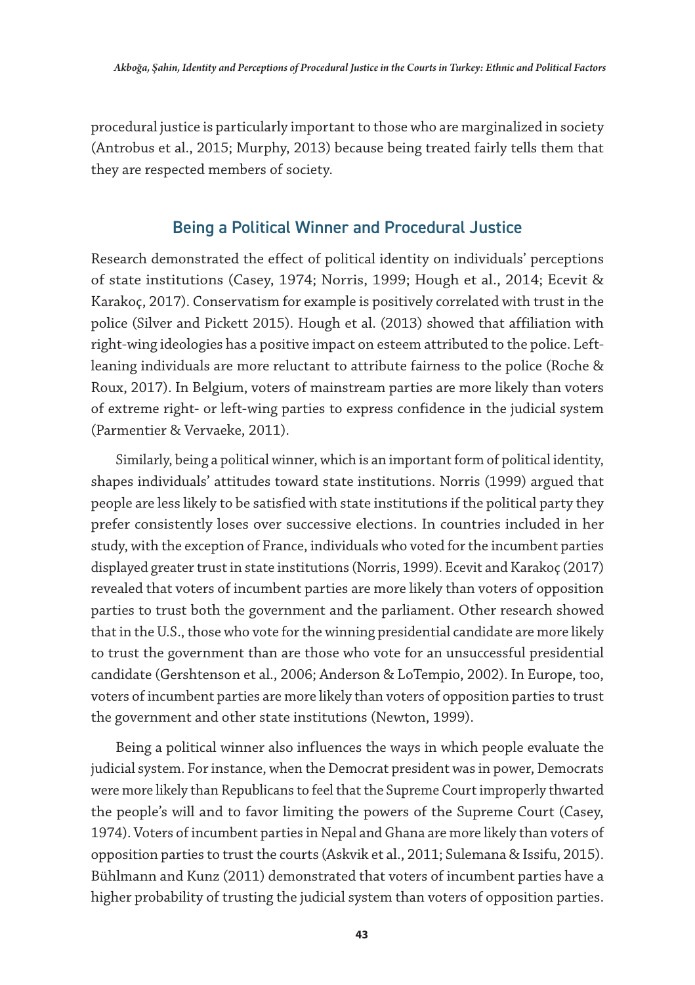procedural justice is particularly important to those who are marginalized in society (Antrobus et al., 2015; Murphy, 2013) because being treated fairly tells them that they are respected members of society.

### Being a Political Winner and Procedural Justice

Research demonstrated the effect of political identity on individuals' perceptions of state institutions (Casey, 1974; Norris, 1999; Hough et al., 2014; Ecevit & Karakoç, 2017). Conservatism for example is positively correlated with trust in the police (Silver and Pickett 2015). Hough et al. (2013) showed that affiliation with right-wing ideologies has a positive impact on esteem attributed to the police. Leftleaning individuals are more reluctant to attribute fairness to the police (Roche & Roux, 2017). In Belgium, voters of mainstream parties are more likely than voters of extreme right- or left-wing parties to express confidence in the judicial system (Parmentier & Vervaeke, 2011).

Similarly, being a political winner, which is an important form of political identity, shapes individuals' attitudes toward state institutions. Norris (1999) argued that people are less likely to be satisfied with state institutions if the political party they prefer consistently loses over successive elections. In countries included in her study, with the exception of France, individuals who voted for the incumbent parties displayed greater trust in state institutions (Norris, 1999). Ecevit and Karakoç (2017) revealed that voters of incumbent parties are more likely than voters of opposition parties to trust both the government and the parliament. Other research showed that in the U.S., those who vote for the winning presidential candidate are more likely to trust the government than are those who vote for an unsuccessful presidential candidate (Gershtenson et al., 2006; Anderson & LoTempio, 2002). In Europe, too, voters of incumbent parties are more likely than voters of opposition parties to trust the government and other state institutions (Newton, 1999).

Being a political winner also influences the ways in which people evaluate the judicial system. For instance, when the Democrat president was in power, Democrats were more likely than Republicans to feel that the Supreme Court improperly thwarted the people's will and to favor limiting the powers of the Supreme Court (Casey, 1974). Voters of incumbent parties in Nepal and Ghana are more likely than voters of opposition parties to trust the courts (Askvik et al., 2011; Sulemana & Issifu, 2015). Bühlmann and Kunz (2011) demonstrated that voters of incumbent parties have a higher probability of trusting the judicial system than voters of opposition parties.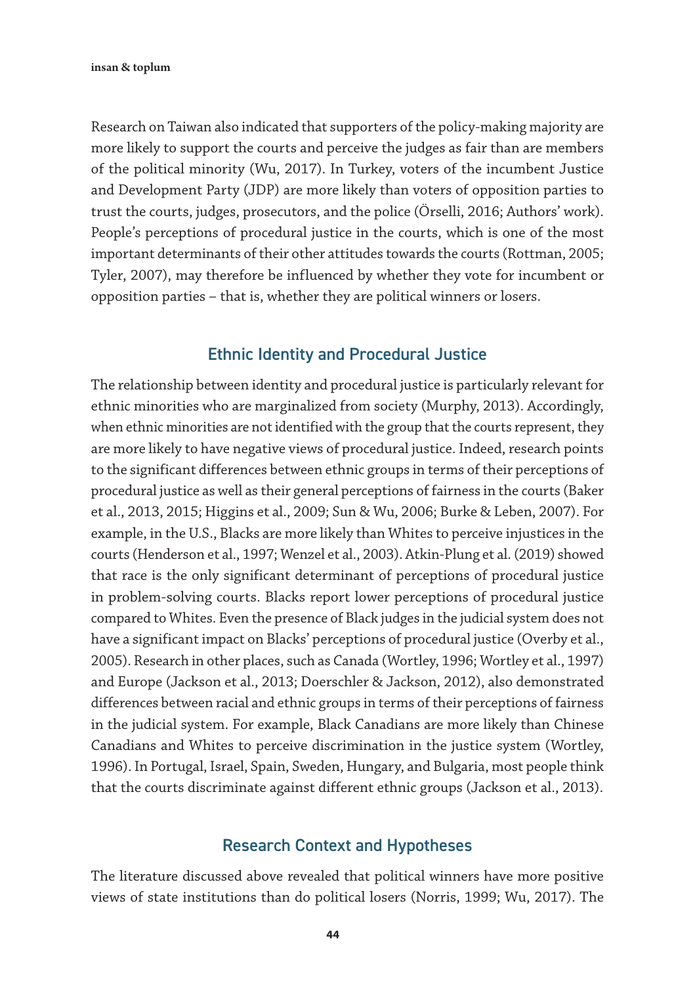Research on Taiwan also indicated that supporters of the policy-making majority are more likely to support the courts and perceive the judges as fair than are members of the political minority (Wu, 2017). In Turkey, voters of the incumbent Justice and Development Party (JDP) are more likely than voters of opposition parties to trust the courts, judges, prosecutors, and the police (Örselli, 2016; Authors' work). People's perceptions of procedural justice in the courts, which is one of the most important determinants of their other attitudes towards the courts (Rottman, 2005; Tyler, 2007), may therefore be influenced by whether they vote for incumbent or opposition parties – that is, whether they are political winners or losers.

#### Ethnic Identity and Procedural Justice

The relationship between identity and procedural justice is particularly relevant for ethnic minorities who are marginalized from society (Murphy, 2013). Accordingly, when ethnic minorities are not identified with the group that the courts represent, they are more likely to have negative views of procedural justice. Indeed, research points to the significant differences between ethnic groups in terms of their perceptions of procedural justice as well as their general perceptions of fairness in the courts (Baker et al., 2013, 2015; Higgins et al., 2009; Sun & Wu, 2006; Burke & Leben, 2007). For example, in the U.S., Blacks are more likely than Whites to perceive injustices in the courts (Henderson et al., 1997; Wenzel et al., 2003). Atkin-Plung et al. (2019) showed that race is the only significant determinant of perceptions of procedural justice in problem-solving courts. Blacks report lower perceptions of procedural justice compared to Whites. Even the presence of Black judges in the judicial system does not have a significant impact on Blacks' perceptions of procedural justice (Overby et al., 2005). Research in other places, such as Canada (Wortley, 1996; Wortley et al., 1997) and Europe (Jackson et al., 2013; Doerschler & Jackson, 2012), also demonstrated differences between racial and ethnic groups in terms of their perceptions of fairness in the judicial system. For example, Black Canadians are more likely than Chinese Canadians and Whites to perceive discrimination in the justice system (Wortley, 1996). In Portugal, Israel, Spain, Sweden, Hungary, and Bulgaria, most people think that the courts discriminate against different ethnic groups (Jackson et al., 2013).

#### Research Context and Hypotheses

The literature discussed above revealed that political winners have more positive views of state institutions than do political losers (Norris, 1999; Wu, 2017). The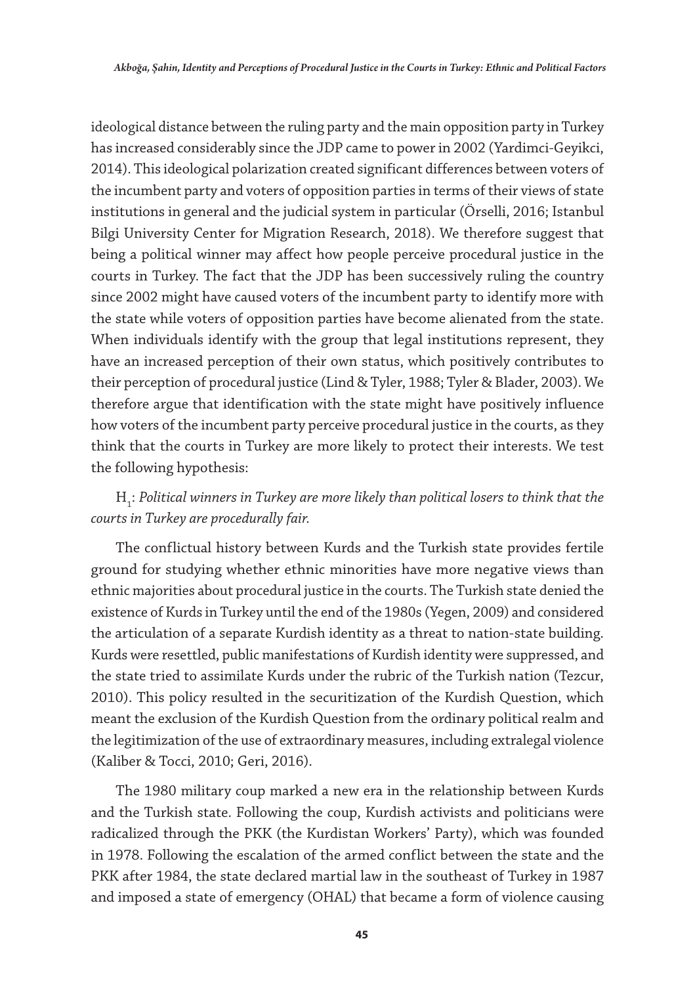ideological distance between the ruling party and the main opposition party in Turkey has increased considerably since the JDP came to power in 2002 (Yardimci-Geyikci, 2014). This ideological polarization created significant differences between voters of the incumbent party and voters of opposition parties in terms of their views of state institutions in general and the judicial system in particular (Örselli, 2016; Istanbul Bilgi University Center for Migration Research, 2018). We therefore suggest that being a political winner may affect how people perceive procedural justice in the courts in Turkey. The fact that the JDP has been successively ruling the country since 2002 might have caused voters of the incumbent party to identify more with the state while voters of opposition parties have become alienated from the state. When individuals identify with the group that legal institutions represent, they have an increased perception of their own status, which positively contributes to their perception of procedural justice (Lind & Tyler, 1988; Tyler & Blader, 2003). We therefore argue that identification with the state might have positively influence how voters of the incumbent party perceive procedural justice in the courts, as they think that the courts in Turkey are more likely to protect their interests. We test the following hypothesis:

#### H<sub>1</sub>: Political winners in Turkey are more likely than political losers to think that the *courts in Turkey are procedurally fair.*

The conflictual history between Kurds and the Turkish state provides fertile ground for studying whether ethnic minorities have more negative views than ethnic majorities about procedural justice in the courts. The Turkish state denied the existence of Kurds in Turkey until the end of the 1980s (Yegen, 2009) and considered the articulation of a separate Kurdish identity as a threat to nation-state building. Kurds were resettled, public manifestations of Kurdish identity were suppressed, and the state tried to assimilate Kurds under the rubric of the Turkish nation (Tezcur, 2010). This policy resulted in the securitization of the Kurdish Question, which meant the exclusion of the Kurdish Question from the ordinary political realm and the legitimization of the use of extraordinary measures, including extralegal violence (Kaliber & Tocci, 2010; Geri, 2016).

The 1980 military coup marked a new era in the relationship between Kurds and the Turkish state. Following the coup, Kurdish activists and politicians were radicalized through the PKK (the Kurdistan Workers' Party), which was founded in 1978. Following the escalation of the armed conflict between the state and the PKK after 1984, the state declared martial law in the southeast of Turkey in 1987 and imposed a state of emergency (OHAL) that became a form of violence causing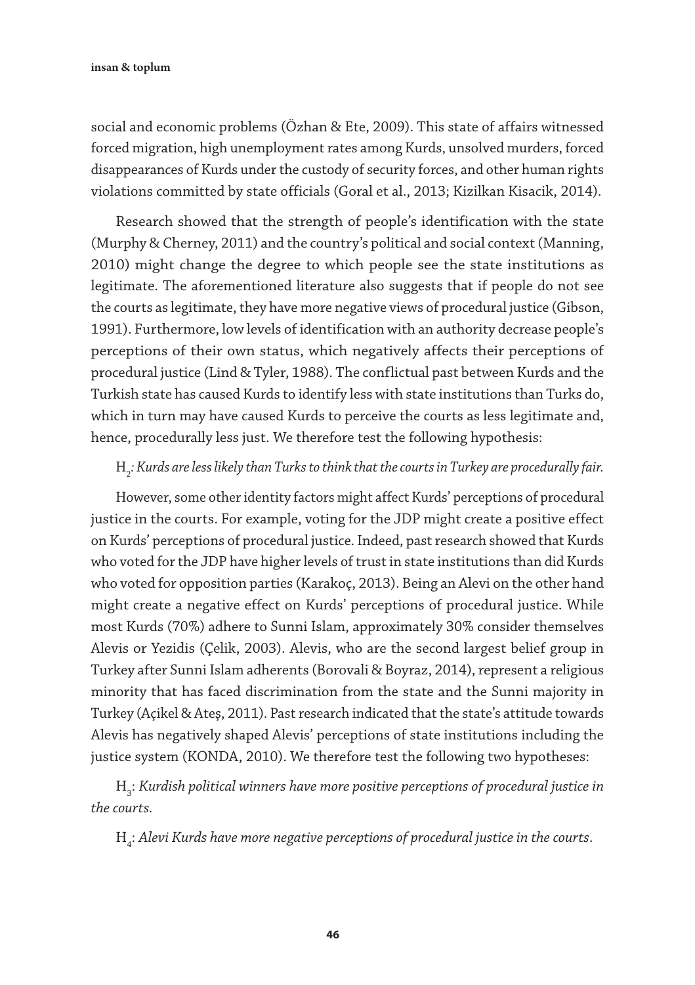social and economic problems (Özhan & Ete, 2009). This state of affairs witnessed forced migration, high unemployment rates among Kurds, unsolved murders, forced disappearances of Kurds under the custody of security forces, and other human rights violations committed by state officials (Goral et al., 2013; Kizilkan Kisacik, 2014).

Research showed that the strength of people's identification with the state (Murphy & Cherney, 2011) and the country's political and social context (Manning, 2010) might change the degree to which people see the state institutions as legitimate. The aforementioned literature also suggests that if people do not see the courts as legitimate, they have more negative views of procedural justice (Gibson, 1991). Furthermore, low levels of identification with an authority decrease people's perceptions of their own status, which negatively affects their perceptions of procedural justice (Lind & Tyler, 1988). The conflictual past between Kurds and the Turkish state has caused Kurds to identify less with state institutions than Turks do, which in turn may have caused Kurds to perceive the courts as less legitimate and, hence, procedurally less just. We therefore test the following hypothesis:

# H2 *: Kurds are less likely than Turks to think that the courts in Turkey are procedurally fair.*

However, some other identity factors might affect Kurds' perceptions of procedural justice in the courts. For example, voting for the JDP might create a positive effect on Kurds' perceptions of procedural justice. Indeed, past research showed that Kurds who voted for the JDP have higher levels of trust in state institutions than did Kurds who voted for opposition parties (Karakoç, 2013). Being an Alevi on the other hand might create a negative effect on Kurds' perceptions of procedural justice. While most Kurds (70%) adhere to Sunni Islam, approximately 30% consider themselves Alevis or Yezidis (Çelik, 2003). Alevis, who are the second largest belief group in Turkey after Sunni Islam adherents (Borovali & Boyraz, 2014), represent a religious minority that has faced discrimination from the state and the Sunni majority in Turkey (Açikel & Ateş, 2011). Past research indicated that the state's attitude towards Alevis has negatively shaped Alevis' perceptions of state institutions including the justice system (KONDA, 2010). We therefore test the following two hypotheses:

H<sub>3</sub>: Kurdish political winners have more positive perceptions of procedural justice in *the courts.*

H4 : *Alevi Kurds have more negative perceptions of procedural justice in the courts*.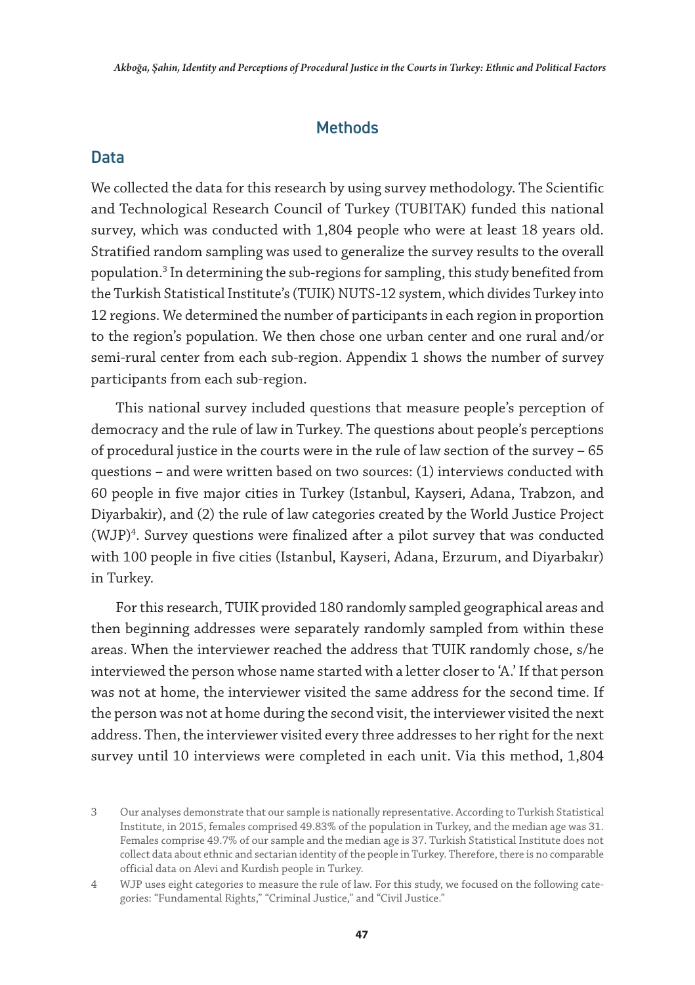#### **Methods**

#### Data

We collected the data for this research by using survey methodology. The Scientific and Technological Research Council of Turkey (TUBITAK) funded this national survey, which was conducted with 1,804 people who were at least 18 years old. Stratified random sampling was used to generalize the survey results to the overall population.3 In determining the sub-regions for sampling, this study benefited from the Turkish Statistical Institute's (TUIK) NUTS-12 system, which divides Turkey into 12 regions. We determined the number of participants in each region in proportion to the region's population. We then chose one urban center and one rural and/or semi-rural center from each sub-region. Appendix 1 shows the number of survey participants from each sub-region.

This national survey included questions that measure people's perception of democracy and the rule of law in Turkey. The questions about people's perceptions of procedural justice in the courts were in the rule of law section of the survey – 65 questions – and were written based on two sources: (1) interviews conducted with 60 people in five major cities in Turkey (Istanbul, Kayseri, Adana, Trabzon, and Diyarbakir), and (2) the rule of law categories created by the World Justice Project (WJP)4 . Survey questions were finalized after a pilot survey that was conducted with 100 people in five cities (Istanbul, Kayseri, Adana, Erzurum, and Diyarbakır) in Turkey.

For this research, TUIK provided 180 randomly sampled geographical areas and then beginning addresses were separately randomly sampled from within these areas. When the interviewer reached the address that TUIK randomly chose, s/he interviewed the person whose name started with a letter closer to 'A.' If that person was not at home, the interviewer visited the same address for the second time. If the person was not at home during the second visit, the interviewer visited the next address. Then, the interviewer visited every three addresses to her right for the next survey until 10 interviews were completed in each unit. Via this method, 1,804

<sup>3</sup> Our analyses demonstrate that our sample is nationally representative. According to Turkish Statistical Institute, in 2015, females comprised 49.83% of the population in Turkey, and the median age was 31. Females comprise 49.7% of our sample and the median age is 37. Turkish Statistical Institute does not collect data about ethnic and sectarian identity of the people in Turkey. Therefore, there is no comparable official data on Alevi and Kurdish people in Turkey.

<sup>4</sup> WJP uses eight categories to measure the rule of law. For this study, we focused on the following categories: "Fundamental Rights," "Criminal Justice," and "Civil Justice."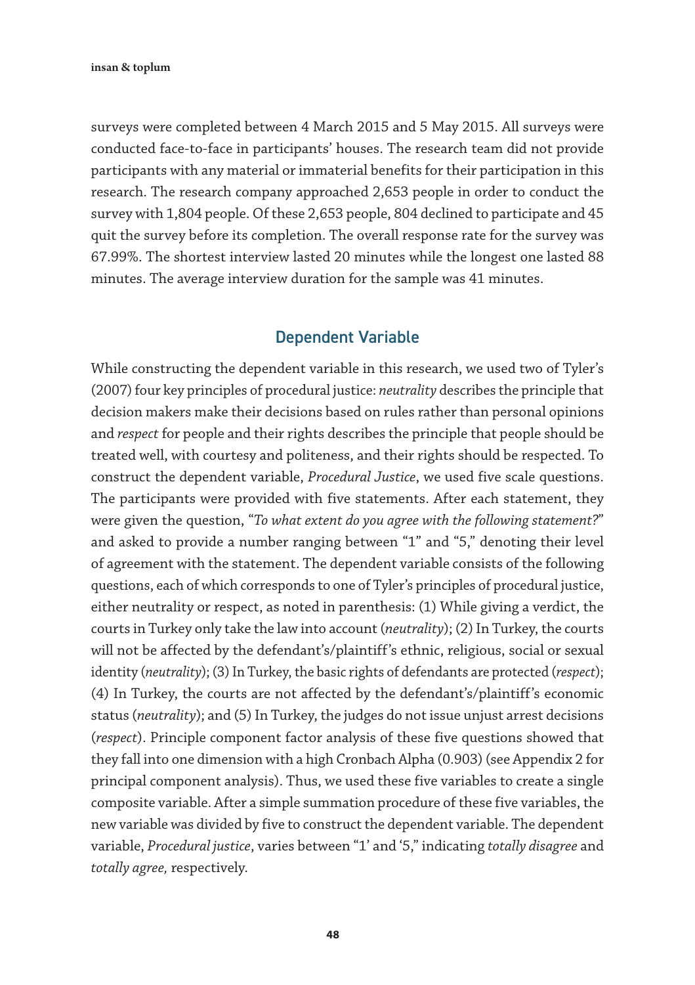surveys were completed between 4 March 2015 and 5 May 2015. All surveys were conducted face-to-face in participants' houses. The research team did not provide participants with any material or immaterial benefits for their participation in this research. The research company approached 2,653 people in order to conduct the survey with 1,804 people. Of these 2,653 people, 804 declined to participate and 45 quit the survey before its completion. The overall response rate for the survey was 67.99%. The shortest interview lasted 20 minutes while the longest one lasted 88 minutes. The average interview duration for the sample was 41 minutes.

#### Dependent Variable

While constructing the dependent variable in this research, we used two of Tyler's (2007) four key principles of procedural justice: *neutrality* describes the principle that decision makers make their decisions based on rules rather than personal opinions and *respect* for people and their rights describes the principle that people should be treated well, with courtesy and politeness, and their rights should be respected. To construct the dependent variable, *Procedural Justice*, we used five scale questions. The participants were provided with five statements. After each statement, they were given the question, "*To what extent do you agree with the following statement?*" and asked to provide a number ranging between "1" and "5," denoting their level of agreement with the statement. The dependent variable consists of the following questions, each of which corresponds to one of Tyler's principles of procedural justice, either neutrality or respect, as noted in parenthesis: (1) While giving a verdict, the courts in Turkey only take the law into account (*neutrality*); (2) In Turkey, the courts will not be affected by the defendant's/plaintiff's ethnic, religious, social or sexual identity (*neutrality*); (3) In Turkey, the basic rights of defendants are protected (*respect*); (4) In Turkey, the courts are not affected by the defendant's/plaintiff's economic status (*neutrality*); and (5) In Turkey, the judges do not issue unjust arrest decisions (*respect*). Principle component factor analysis of these five questions showed that they fall into one dimension with a high Cronbach Alpha (0.903) (see Appendix 2 for principal component analysis). Thus, we used these five variables to create a single composite variable. After a simple summation procedure of these five variables, the new variable was divided by five to construct the dependent variable. The dependent variable, *Procedural justice*, varies between "1' and '5," indicating *totally disagree* and *totally agree,* respectively.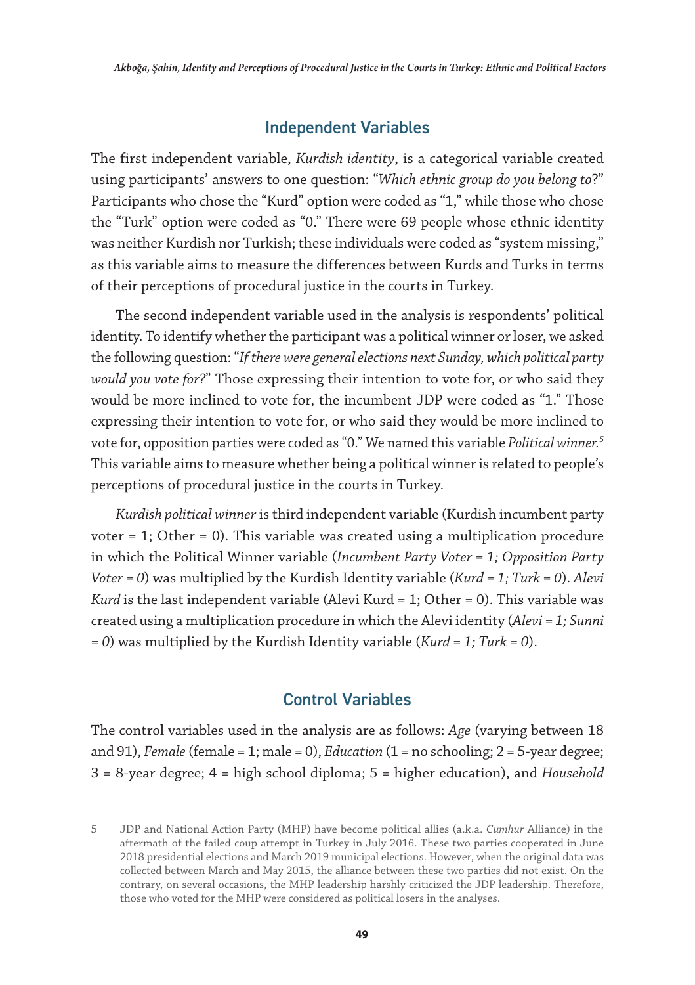#### Independent Variables

The first independent variable, *Kurdish identity*, is a categorical variable created using participants' answers to one question: "*Which ethnic group do you belong to*?" Participants who chose the "Kurd" option were coded as "1," while those who chose the "Turk" option were coded as "0." There were 69 people whose ethnic identity was neither Kurdish nor Turkish; these individuals were coded as "system missing," as this variable aims to measure the differences between Kurds and Turks in terms of their perceptions of procedural justice in the courts in Turkey.

The second independent variable used in the analysis is respondents' political identity. To identify whether the participant was a political winner or loser, we asked the following question: "*If there were general elections next Sunday, which political party would you vote for?*" Those expressing their intention to vote for, or who said they would be more inclined to vote for, the incumbent JDP were coded as "1." Those expressing their intention to vote for, or who said they would be more inclined to vote for, opposition parties were coded as "0." We named this variable *Political winner.5* This variable aims to measure whether being a political winner is related to people's perceptions of procedural justice in the courts in Turkey.

*Kurdish political winner* is third independent variable (Kurdish incumbent party voter  $= 1$ ; Other  $= 0$ ). This variable was created using a multiplication procedure in which the Political Winner variable (*Incumbent Party Voter = 1; Opposition Party Voter = 0*) was multiplied by the Kurdish Identity variable (*Kurd = 1; Turk = 0*). *Alevi Kurd* is the last independent variable (Alevi Kurd = 1; Other = 0). This variable was created using a multiplication procedure in which the Alevi identity (*Alevi = 1; Sunni = 0*) was multiplied by the Kurdish Identity variable (*Kurd = 1; Turk = 0*).

#### Control Variables

The control variables used in the analysis are as follows: *Age* (varying between 18 and 91), *Female* (female = 1; male = 0), *Education* (1 = no schooling; 2 = 5-year degree; 3 = 8-year degree; 4 = high school diploma; 5 = higher education), and *Household* 

<sup>5</sup> JDP and National Action Party (MHP) have become political allies (a.k.a. *Cumhur* Alliance) in the aftermath of the failed coup attempt in Turkey in July 2016. These two parties cooperated in June 2018 presidential elections and March 2019 municipal elections. However, when the original data was collected between March and May 2015, the alliance between these two parties did not exist. On the contrary, on several occasions, the MHP leadership harshly criticized the JDP leadership. Therefore, those who voted for the MHP were considered as political losers in the analyses.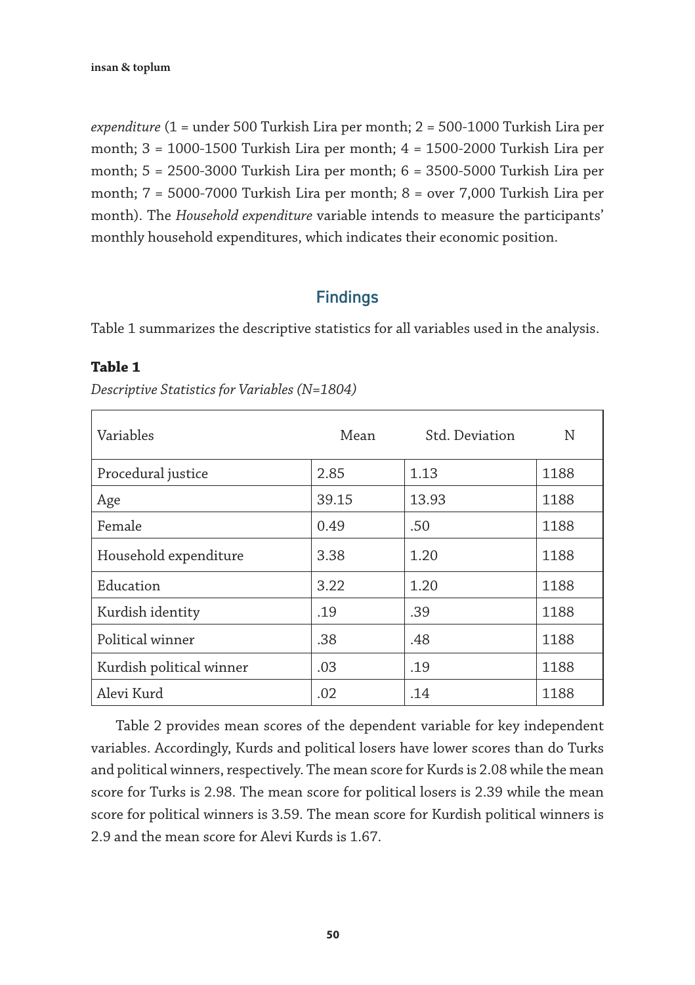*expenditure* (1 = under 500 Turkish Lira per month; 2 = 500-1000 Turkish Lira per month; 3 = 1000-1500 Turkish Lira per month; 4 = 1500-2000 Turkish Lira per month; 5 = 2500-3000 Turkish Lira per month; 6 = 3500-5000 Turkish Lira per month; 7 = 5000-7000 Turkish Lira per month; 8 = over 7,000 Turkish Lira per month). The *Household expenditure* variable intends to measure the participants' monthly household expenditures, which indicates their economic position.

#### **Findings**

Table 1 summarizes the descriptive statistics for all variables used in the analysis.

#### **Table 1**

| Variables                | Mean  | Std. Deviation | N    |
|--------------------------|-------|----------------|------|
| Procedural justice       | 2.85  | 1.13           | 1188 |
| Age                      | 39.15 | 13.93          | 1188 |
| Female                   | 0.49  | .50            | 1188 |
| Household expenditure    | 3.38  | 1.20           | 1188 |
| Education                | 3.22  | 1.20           | 1188 |
| Kurdish identity         | .19   | .39            | 1188 |
| Political winner         | .38   | .48            | 1188 |
| Kurdish political winner | .03   | .19            | 1188 |
| Alevi Kurd               | .02   | .14            | 1188 |

*Descriptive Statistics for Variables (N=1804)*

Table 2 provides mean scores of the dependent variable for key independent variables. Accordingly, Kurds and political losers have lower scores than do Turks and political winners, respectively. The mean score for Kurds is 2.08 while the mean score for Turks is 2.98. The mean score for political losers is 2.39 while the mean score for political winners is 3.59. The mean score for Kurdish political winners is 2.9 and the mean score for Alevi Kurds is 1.67.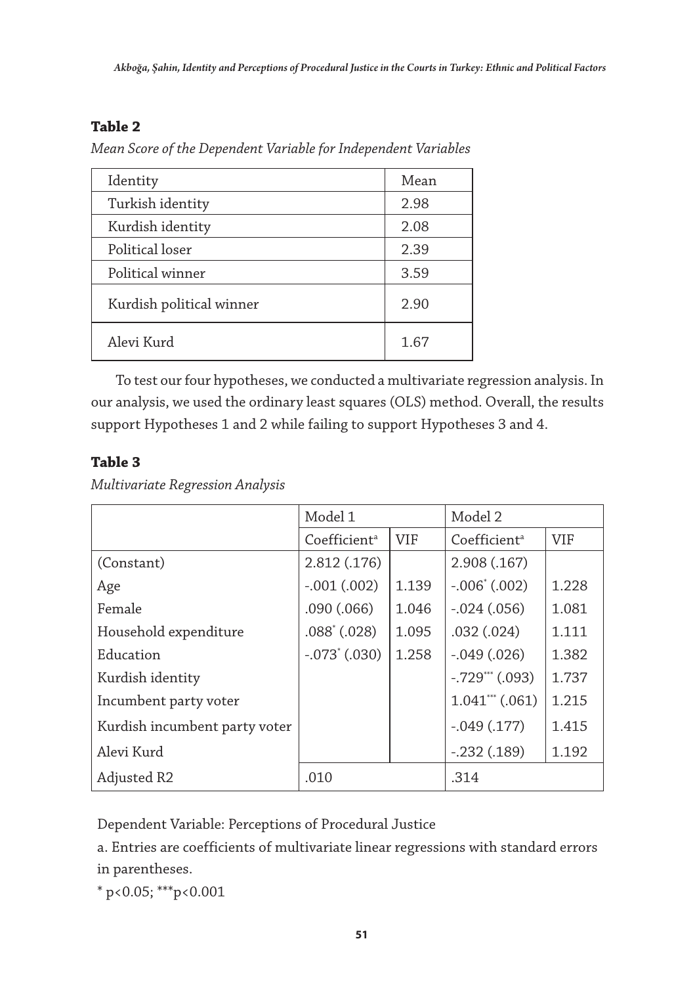### **Table 2**

*Mean Score of the Dependent Variable for Independent Variables*

| Identity                 | Mean |
|--------------------------|------|
| Turkish identity         | 2.98 |
| Kurdish identity         | 2.08 |
| Political loser          | 2.39 |
| Political winner         | 3.59 |
| Kurdish political winner | 2.90 |
| Alevi Kurd               | 1.67 |

To test our four hypotheses, we conducted a multivariate regression analysis. In our analysis, we used the ordinary least squares (OLS) method. Overall, the results support Hypotheses 1 and 2 while failing to support Hypotheses 3 and 4.

# **Table 3**

*Multivariate Regression Analysis* 

|                               | Model 1                  |            | Model 2                  |            |
|-------------------------------|--------------------------|------------|--------------------------|------------|
|                               | Coefficient <sup>a</sup> | <b>VIF</b> | Coefficient <sup>a</sup> | <b>VIF</b> |
| (Constant)                    | 2.812 (.176)             |            | 2.908 (.167)             |            |
| Age                           | $-.001(.002)$            | 1.139      | $-.006^*(.002)$          | 1.228      |
| Female                        | .090(.066)               | 1.046      | $-.024(.056)$            | 1.081      |
| Household expenditure         | $.088^{\circ}$ $(.028)$  | 1.095      | .032(.024)               | 1.111      |
| Education                     | $-.073$ (.030)           | 1.258      | $-.049(.026)$            | 1.382      |
| Kurdish identity              |                          |            | $-.729***$ (.093)        | 1.737      |
| Incumbent party voter         |                          |            | $1.041***$ $(.061)$      | 1.215      |
| Kurdish incumbent party voter |                          |            | $-.049(.177)$            | 1.415      |
| Alevi Kurd                    |                          |            | $-.232(.189)$            | 1.192      |
| Adjusted R2                   | .010                     |            | .314                     |            |

Dependent Variable: Perceptions of Procedural Justice

a. Entries are coefficients of multivariate linear regressions with standard errors in parentheses.

 $*$  p<0.05; \*\*\*p<0.001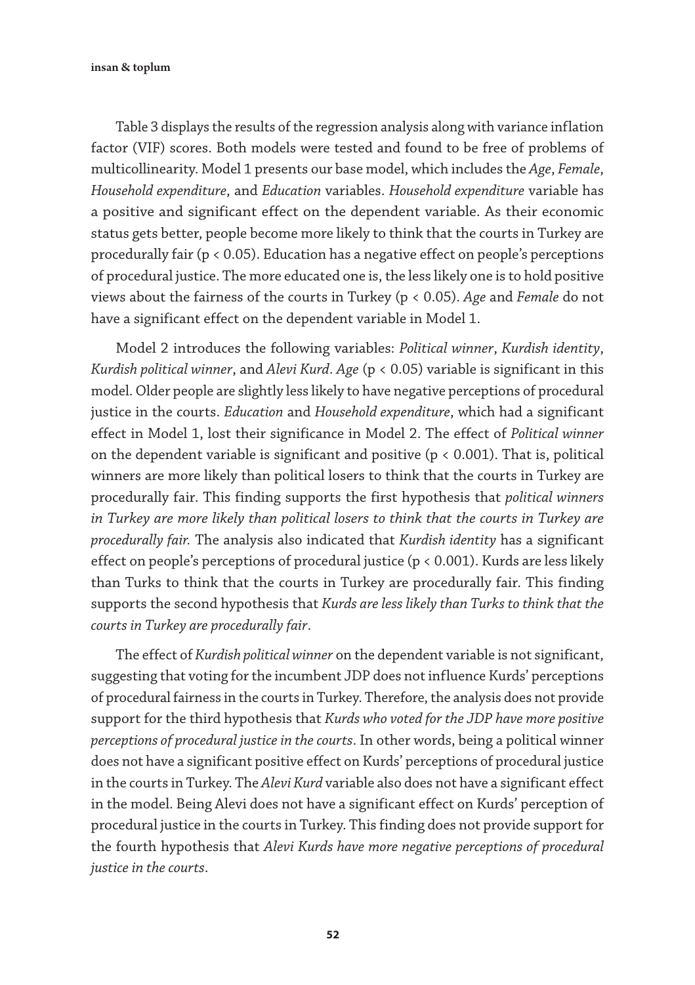insan & toplum

Table 3 displays the results of the regression analysis along with variance inflation factor (VIF) scores. Both models were tested and found to be free of problems of multicollinearity. Model 1 presents our base model, which includes the *Age*, *Female*, *Household expenditure*, and *Education* variables. *Household expenditure* variable has a positive and significant effect on the dependent variable. As their economic status gets better, people become more likely to think that the courts in Turkey are procedurally fair (p < 0.05). Education has a negative effect on people's perceptions of procedural justice. The more educated one is, the less likely one is to hold positive views about the fairness of the courts in Turkey (p < 0.05). *Age* and *Female* do not have a significant effect on the dependent variable in Model 1.

Model 2 introduces the following variables: *Political winner*, *Kurdish identity*, *Kurdish political winner*, and *Alevi Kurd*. *Age* (p < 0.05) variable is significant in this model. Older people are slightly less likely to have negative perceptions of procedural justice in the courts. *Education* and *Household expenditure*, which had a significant effect in Model 1, lost their significance in Model 2. The effect of *Political winner* on the dependent variable is significant and positive ( $p < 0.001$ ). That is, political winners are more likely than political losers to think that the courts in Turkey are procedurally fair. This finding supports the first hypothesis that *political winners in Turkey are more likely than political losers to think that the courts in Turkey are procedurally fair.* The analysis also indicated that *Kurdish identity* has a significant effect on people's perceptions of procedural justice ( $p < 0.001$ ). Kurds are less likely than Turks to think that the courts in Turkey are procedurally fair. This finding supports the second hypothesis that *Kurds are less likely than Turks to think that the courts in Turkey are procedurally fair*.

The effect of *Kurdish political winner* on the dependent variable is not significant, suggesting that voting for the incumbent JDP does not influence Kurds' perceptions of procedural fairness in the courts in Turkey. Therefore, the analysis does not provide support for the third hypothesis that *Kurds who voted for the JDP have more positive perceptions of procedural justice in the courts*. In other words, being a political winner does not have a significant positive effect on Kurds' perceptions of procedural justice in the courts in Turkey. The *Alevi Kurd* variable also does not have a significant effect in the model. Being Alevi does not have a significant effect on Kurds' perception of procedural justice in the courts in Turkey. This finding does not provide support for the fourth hypothesis that *Alevi Kurds have more negative perceptions of procedural justice in the courts*.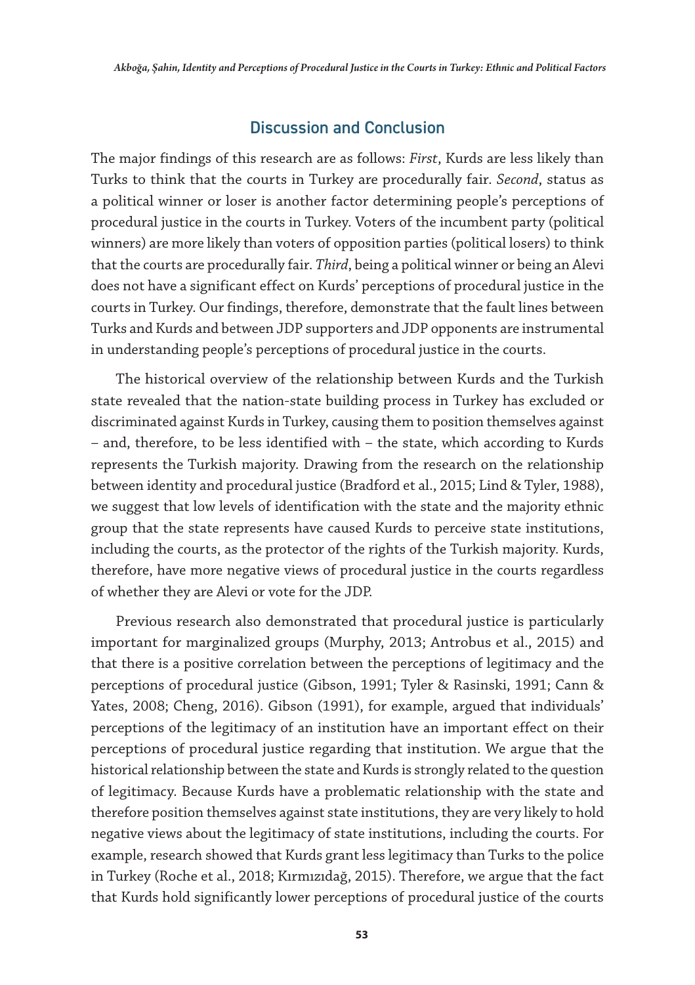#### Discussion and Conclusion

The major findings of this research are as follows: *First*, Kurds are less likely than Turks to think that the courts in Turkey are procedurally fair. *Second*, status as a political winner or loser is another factor determining people's perceptions of procedural justice in the courts in Turkey. Voters of the incumbent party (political winners) are more likely than voters of opposition parties (political losers) to think that the courts are procedurally fair. *Third*, being a political winner or being an Alevi does not have a significant effect on Kurds' perceptions of procedural justice in the courts in Turkey. Our findings, therefore, demonstrate that the fault lines between Turks and Kurds and between JDP supporters and JDP opponents are instrumental in understanding people's perceptions of procedural justice in the courts.

The historical overview of the relationship between Kurds and the Turkish state revealed that the nation-state building process in Turkey has excluded or discriminated against Kurds in Turkey, causing them to position themselves against – and, therefore, to be less identified with – the state, which according to Kurds represents the Turkish majority. Drawing from the research on the relationship between identity and procedural justice (Bradford et al., 2015; Lind & Tyler, 1988), we suggest that low levels of identification with the state and the majority ethnic group that the state represents have caused Kurds to perceive state institutions, including the courts, as the protector of the rights of the Turkish majority. Kurds, therefore, have more negative views of procedural justice in the courts regardless of whether they are Alevi or vote for the JDP.

Previous research also demonstrated that procedural justice is particularly important for marginalized groups (Murphy, 2013; Antrobus et al., 2015) and that there is a positive correlation between the perceptions of legitimacy and the perceptions of procedural justice (Gibson, 1991; Tyler & Rasinski, 1991; Cann & Yates, 2008; Cheng, 2016). Gibson (1991), for example, argued that individuals' perceptions of the legitimacy of an institution have an important effect on their perceptions of procedural justice regarding that institution. We argue that the historical relationship between the state and Kurds is strongly related to the question of legitimacy. Because Kurds have a problematic relationship with the state and therefore position themselves against state institutions, they are very likely to hold negative views about the legitimacy of state institutions, including the courts. For example, research showed that Kurds grant less legitimacy than Turks to the police in Turkey (Roche et al., 2018; Kırmızıdağ, 2015). Therefore, we argue that the fact that Kurds hold significantly lower perceptions of procedural justice of the courts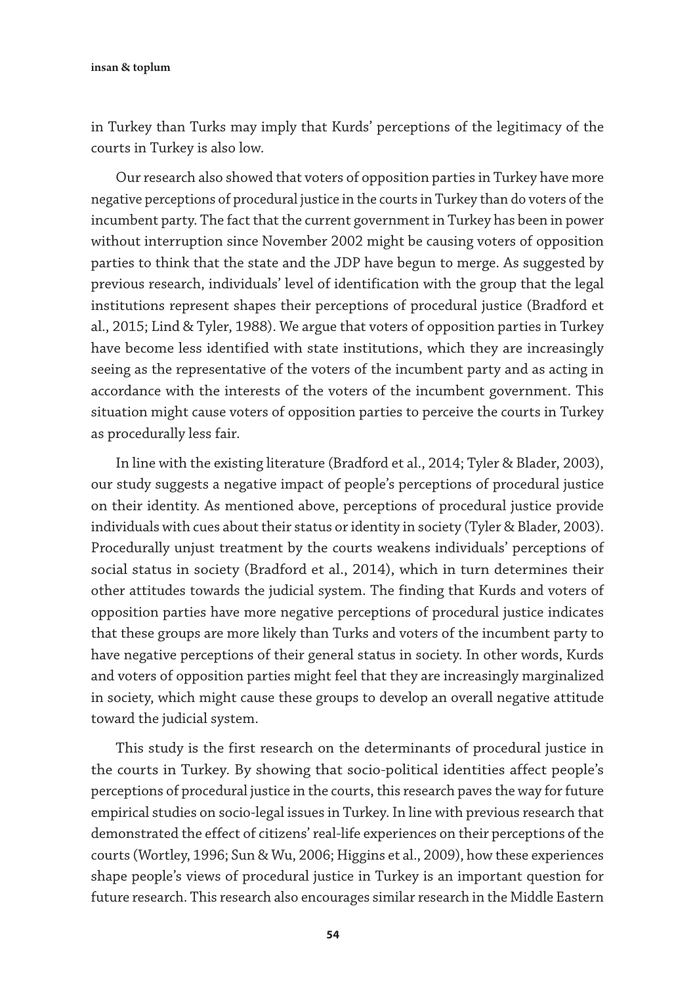insan & toplum

in Turkey than Turks may imply that Kurds' perceptions of the legitimacy of the courts in Turkey is also low.

Our research also showed that voters of opposition parties in Turkey have more negative perceptions of procedural justice in the courts in Turkey than do voters of the incumbent party. The fact that the current government in Turkey has been in power without interruption since November 2002 might be causing voters of opposition parties to think that the state and the JDP have begun to merge. As suggested by previous research, individuals' level of identification with the group that the legal institutions represent shapes their perceptions of procedural justice (Bradford et al., 2015; Lind & Tyler, 1988). We argue that voters of opposition parties in Turkey have become less identified with state institutions, which they are increasingly seeing as the representative of the voters of the incumbent party and as acting in accordance with the interests of the voters of the incumbent government. This situation might cause voters of opposition parties to perceive the courts in Turkey as procedurally less fair.

In line with the existing literature (Bradford et al., 2014; Tyler & Blader, 2003), our study suggests a negative impact of people's perceptions of procedural justice on their identity. As mentioned above, perceptions of procedural justice provide individuals with cues about their status or identity in society (Tyler & Blader, 2003). Procedurally unjust treatment by the courts weakens individuals' perceptions of social status in society (Bradford et al., 2014), which in turn determines their other attitudes towards the judicial system. The finding that Kurds and voters of opposition parties have more negative perceptions of procedural justice indicates that these groups are more likely than Turks and voters of the incumbent party to have negative perceptions of their general status in society. In other words, Kurds and voters of opposition parties might feel that they are increasingly marginalized in society, which might cause these groups to develop an overall negative attitude toward the judicial system.

This study is the first research on the determinants of procedural justice in the courts in Turkey. By showing that socio-political identities affect people's perceptions of procedural justice in the courts, this research paves the way for future empirical studies on socio-legal issues in Turkey. In line with previous research that demonstrated the effect of citizens' real-life experiences on their perceptions of the courts (Wortley, 1996; Sun & Wu, 2006; Higgins et al., 2009), how these experiences shape people's views of procedural justice in Turkey is an important question for future research. This research also encourages similar research in the Middle Eastern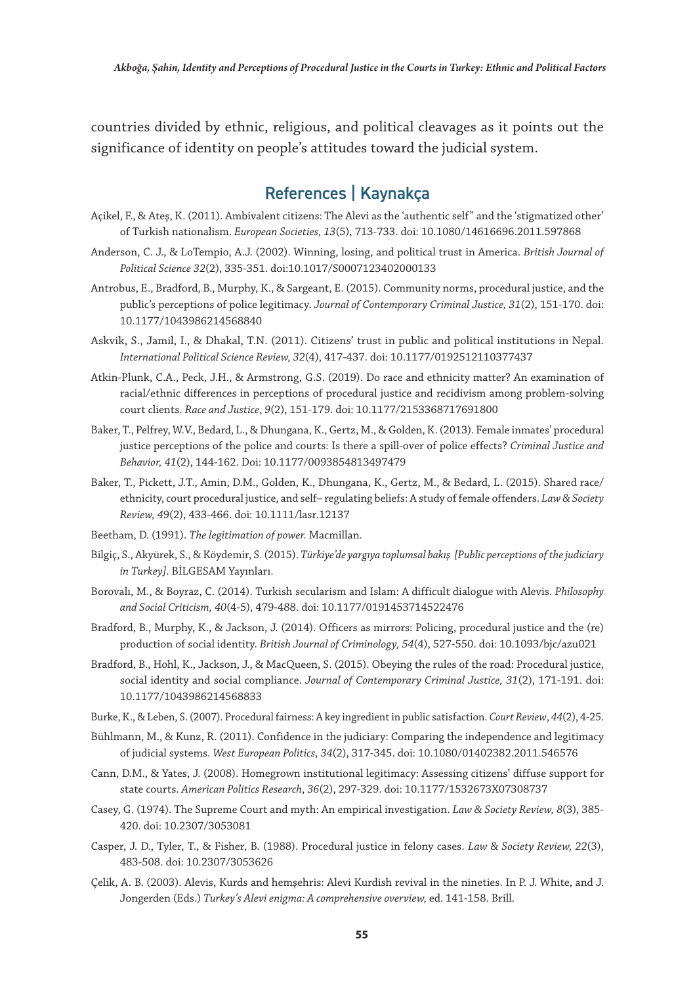countries divided by ethnic, religious, and political cleavages as it points out the significance of identity on people's attitudes toward the judicial system.

# References | Kaynakça

- Açikel, F., & Ateş, K. (2011). Ambivalent citizens: The Alevi as the 'authentic self" and the 'stigmatized other' of Turkish nationalism. *European Societies, 13*(5), 713-733. doi: 10.1080/14616696.2011.597868
- Anderson, C. J., & LoTempio, A.J. (2002). Winning, losing, and political trust in America. *British Journal of Political Science 32*(2), 335-351. doi:10.1017/S0007123402000133
- Antrobus, E., Bradford, B., Murphy, K., & Sargeant, E. (2015). Community norms, procedural justice, and the public's perceptions of police legitimacy. *Journal of Contemporary Criminal Justice, 31*(2), 151-170. doi: 10.1177/1043986214568840
- Askvik, S., Jamil, I., & Dhakal, T.N. (2011). Citizens' trust in public and political institutions in Nepal. *International Political Science Review, 32*(4), 417-437. doi: 10.1177/0192512110377437
- Atkin-Plunk, C.A., Peck, J.H., & Armstrong, G.S. (2019). Do race and ethnicity matter? An examination of racial/ethnic differences in perceptions of procedural justice and recidivism among problem-solving court clients. *Race and Justice*, *9*(2), 151-179. doi: 10.1177/2153368717691800
- Baker, T., Pelfrey, W.V., Bedard, L., & Dhungana, K., Gertz, M., & Golden, K. (2013). Female inmates' procedural justice perceptions of the police and courts: Is there a spill-over of police effects? *Criminal Justice and Behavior, 41*(2), 144-162. Doi: 10.1177/0093854813497479
- Baker, T., Pickett, J.T., Amin, D.M., Golden, K., Dhungana, K., Gertz, M., & Bedard, L. (2015). Shared race/ ethnicity, court procedural justice, and self– regulating beliefs: A study of female offenders. *Law & Society Review, 4*9(2), 433-466. doi: 10.1111/lasr.12137
- Beetham, D. (1991). *The legitimation of power.* Macmillan.
- Bilgiç, S., Akyürek, S., & Köydemir, S. (2015). *Türkiye'de yargıya toplumsal bakış [Public perceptions of the judiciary in Turkey]*. BİLGESAM Yayınları.
- Borovalı, M., & Boyraz, C. (2014). Turkish secularism and Islam: A difficult dialogue with Alevis. *Philosophy and Social Criticism, 40*(4-5), 479-488. doi: 10.1177/0191453714522476
- Bradford, B., Murphy, K., & Jackson, J. (2014). Officers as mirrors: Policing, procedural justice and the (re) production of social identity. *British Journal of Criminology, 54*(4), 527-550. doi: 10.1093/bjc/azu021
- Bradford, B., Hohl, K., Jackson, J., & MacQueen, S. (2015). Obeying the rules of the road: Procedural justice, social identity and social compliance. *Journal of Contemporary Criminal Justice, 31*(2), 171-191. doi: 10.1177/1043986214568833
- Burke, K., & Leben, S. (2007). Procedural fairness: A key ingredient in public satisfaction. *Court Review*, *44*(2), 4-25.
- Bühlmann, M., & Kunz, R. (2011). Confidence in the judiciary: Comparing the independence and legitimacy of judicial systems. *West European Politics*, *34*(2), 317-345. doi: 10.1080/01402382.2011.546576
- Cann, D.M., & Yates, J. (2008). Homegrown institutional legitimacy: Assessing citizens' diffuse support for state courts. *American Politics Research*, *36*(2), 297-329. doi: 10.1177/1532673X07308737
- Casey, G. (1974). The Supreme Court and myth: An empirical investigation. *Law & Society Review, 8*(3), 385- 420. doi: 10.2307/3053081
- Casper, J. D., Tyler, T., & Fisher, B. (1988). Procedural justice in felony cases. *Law & Society Review, 22*(3), 483-508. doi: 10.2307/3053626
- Çelik, A. B. (2003). Alevis, Kurds and hemşehris: Alevi Kurdish revival in the nineties. In P. J. White, and J. Jongerden (Eds.) *Turkey's Alevi enigma: A comprehensive overview,* ed. 141-158. Brill.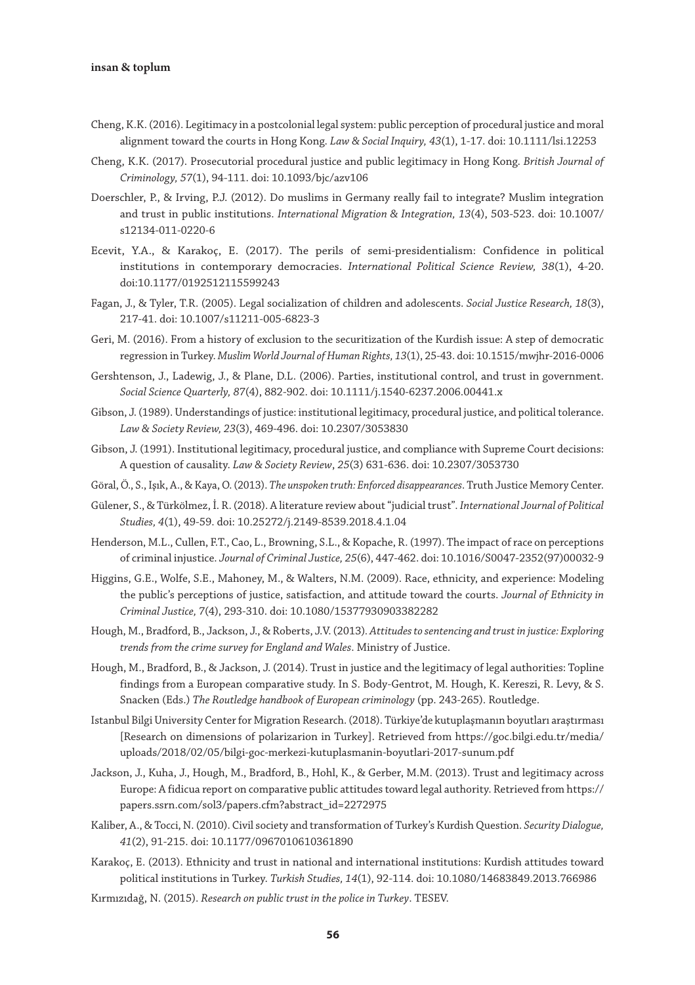- Cheng, K.K. (2016). Legitimacy in a postcolonial legal system: public perception of procedural justice and moral alignment toward the courts in Hong Kong. *Law & Social Inquiry, 43*(1), 1-17. doi: 10.1111/lsi.12253
- Cheng, K.K. (2017). Prosecutorial procedural justice and public legitimacy in Hong Kong. *British Journal of Criminology, 57*(1), 94-111. doi: 10.1093/bjc/azv106
- Doerschler, P., & Irving, P.J. (2012). Do muslims in Germany really fail to integrate? Muslim integration and trust in public institutions. *International Migration & Integration, 13*(4), 503-523. doi: 10.1007/ s12134-011-0220-6
- Ecevit, Y.A., & Karakoç, E. (2017). The perils of semi-presidentialism: Confidence in political institutions in contemporary democracies. *International Political Science Review, 38*(1), 4-20. doi:10.1177/0192512115599243
- Fagan, J., & Tyler, T.R. (2005). Legal socialization of children and adolescents. *Social Justice Research, 18*(3), 217-41. doi: 10.1007/s11211-005-6823-3
- Geri, M. (2016). From a history of exclusion to the securitization of the Kurdish issue: A step of democratic regression in Turkey. *Muslim World Journal of Human Rights, 13*(1), 25-43. doi: 10.1515/mwjhr-2016-0006
- Gershtenson, J., Ladewig, J., & Plane, D.L. (2006). Parties, institutional control, and trust in government. *Social Science Quarterly, 87*(4), 882-902. doi: 10.1111/j.1540-6237.2006.00441.x
- Gibson, J. (1989). Understandings of justice: institutional legitimacy, procedural justice, and political tolerance. *Law & Society Review, 23*(3), 469-496. doi: 10.2307/3053830
- Gibson, J. (1991). Institutional legitimacy, procedural justice, and compliance with Supreme Court decisions: A question of causality. *Law & Society Review*, *25*(3) 631-636. doi: 10.2307/3053730
- Göral, Ö., S., Işık, A., & Kaya, O. (2013). *The unspoken truth: Enforced disappearances*. Truth Justice Memory Center.
- Gülener, S., & Türkölmez, İ. R. (2018). A literature review about "judicial trust". *International Journal of Political Studies, 4*(1), 49-59. doi: 10.25272/j.2149-8539.2018.4.1.04
- Henderson, M.L., Cullen, F.T., Cao, L., Browning, S.L., & Kopache, R. (1997). The impact of race on perceptions of criminal injustice. *Journal of Criminal Justice, 25*(6), 447-462. doi: 10.1016/S0047-2352(97)00032-9
- Higgins, G.E., Wolfe, S.E., Mahoney, M., & Walters, N.M. (2009). Race, ethnicity, and experience: Modeling the public's perceptions of justice, satisfaction, and attitude toward the courts. *Journal of Ethnicity in Criminal Justice, 7*(4), 293-310. doi: 10.1080/15377930903382282
- Hough, M., Bradford, B., Jackson, J., & Roberts, J.V. (2013)*. Attitudes to sentencing and trust in justice: Exploring trends from the crime survey for England and Wales*. Ministry of Justice.
- Hough, M., Bradford, B., & Jackson, J. (2014). Trust in justice and the legitimacy of legal authorities: Topline findings from a European comparative study. In S. Body-Gentrot, M. Hough, K. Kereszi, R. Levy, & S. Snacken (Eds.) *The Routledge handbook of European criminology* (pp. 243-265). Routledge.
- Istanbul Bilgi University Center for Migration Research. (2018). Türkiye'de kutuplaşmanın boyutları araştırması [Research on dimensions of polarizarion in Turkey]. Retrieved from https://goc.bilgi.edu.tr/media/ uploads/2018/02/05/bilgi-goc-merkezi-kutuplasmanin-boyutlari-2017-sunum.pdf
- Jackson, J., Kuha, J., Hough, M., Bradford, B., Hohl, K., & Gerber, M.M. (2013). Trust and legitimacy across Europe: A fidicua report on comparative public attitudes toward legal authority. Retrieved from https:// papers.ssrn.com/sol3/papers.cfm?abstract\_id=2272975
- Kaliber, A., & Tocci, N. (2010). Civil society and transformation of Turkey's Kurdish Question. *Security Dialogue, 41*(2), 91-215. doi: 10.1177/0967010610361890
- Karakoç, E. (2013). Ethnicity and trust in national and international institutions: Kurdish attitudes toward political institutions in Turkey. *Turkish Studies, 14*(1), 92-114. doi: 10.1080/14683849.2013.766986
- Kırmızıdağ, N. (2015). *Research on public trust in the police in Turkey*. TESEV.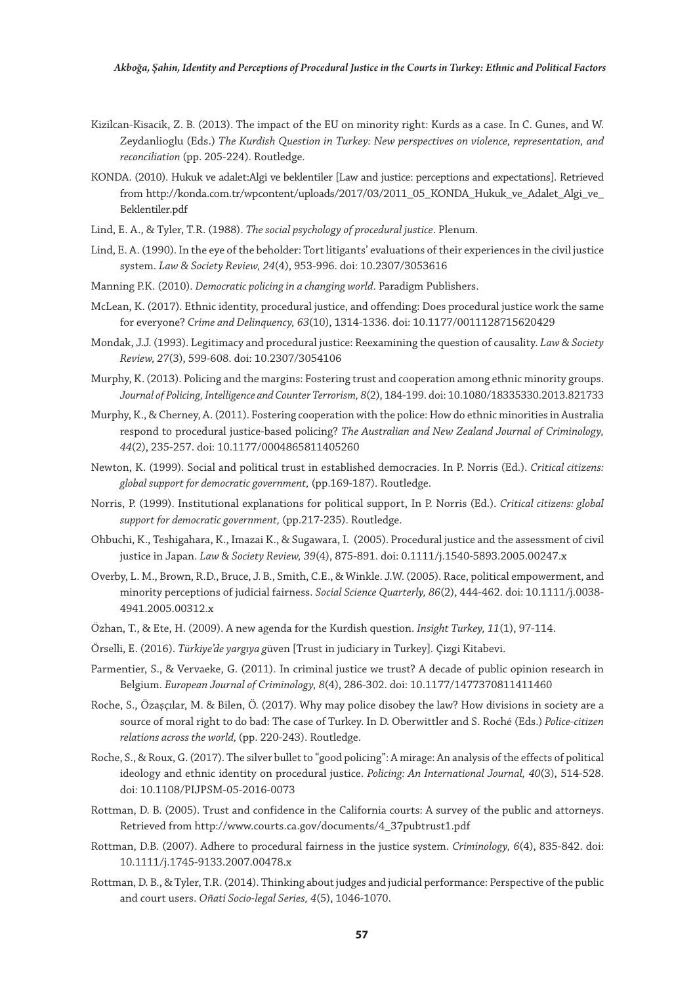- Kizilcan-Kisacik, Z. B. (2013). The impact of the EU on minority right: Kurds as a case. In C. Gunes, and W. Zeydanlioglu (Eds.) *The Kurdish Question in Turkey: New perspectives on violence, representation, and reconciliation* (pp. 205-224). Routledge.
- KONDA. (2010). Hukuk ve adalet:Algi ve beklentiler [Law and justice: perceptions and expectations]. Retrieved from http://konda.com.tr/wpcontent/uploads/2017/03/2011\_05\_KONDA\_Hukuk\_ve\_Adalet\_Algi\_ve\_ Beklentiler.pdf
- Lind, E. A., & Tyler, T.R. (1988). *The social psychology of procedural justice*. Plenum.
- Lind, E. A. (1990). In the eye of the beholder: Tort litigants' evaluations of their experiences in the civil justice system. *Law & Society Review, 24*(4), 953-996. doi: 10.2307/3053616
- Manning P.K. (2010). *Democratic policing in a changing world*. Paradigm Publishers.
- McLean, K. (2017). Ethnic identity, procedural justice, and offending: Does procedural justice work the same for everyone? *Crime and Delinquency, 63*(10), 1314-1336. doi: 10.1177/0011128715620429
- Mondak, J.J. (1993). Legitimacy and procedural justice: Reexamining the question of causality. *Law & Society Review, 27*(3), 599-608. doi: 10.2307/3054106
- Murphy, K. (2013). Policing and the margins: Fostering trust and cooperation among ethnic minority groups. *Journal of Policing, Intelligence and Counter Terrorism, 8*(2), 184-199. doi: 10.1080/18335330.2013.821733
- Murphy, K., & Cherney, A. (2011). Fostering cooperation with the police: How do ethnic minorities in Australia respond to procedural justice-based policing? *The Australian and New Zealand Journal of Criminology, 44*(2), 235-257. doi: 10.1177/0004865811405260
- Newton, K. (1999). Social and political trust in established democracies. In P. Norris (Ed.). *Critical citizens: global support for democratic government,* (pp.169-187). Routledge.
- Norris, P. (1999). Institutional explanations for political support, In P. Norris (Ed.). *Critical citizens: global support for democratic government,* (pp.217-235). Routledge.
- Ohbuchi, K., Teshigahara, K., Imazai K., & Sugawara, I. (2005). Procedural justice and the assessment of civil justice in Japan. *Law & Society Review, 39*(4), 875-891. doi: 0.1111/j.1540-5893.2005.00247.x
- Overby, L. M., Brown, R.D., Bruce, J. B., Smith, C.E., & Winkle. J.W. (2005). Race, political empowerment, and minority perceptions of judicial fairness. *Social Science Quarterly, 86*(2), 444-462. doi: 10.1111/j.0038- 4941.2005.00312.x
- Özhan, T., & Ete, H. (2009). A new agenda for the Kurdish question. *Insight Turkey, 11*(1), 97-114.
- Örselli, E. (2016). *Türkiye'de yargıya g*üven [Trust in judiciary in Turkey]*.* Çizgi Kitabevi.
- Parmentier, S., & Vervaeke, G. (2011). In criminal justice we trust? A decade of public opinion research in Belgium. *European Journal of Criminology, 8*(4), 286-302. doi: 10.1177/1477370811411460
- Roche, S., Özaşçılar, M. & Bilen, Ö. (2017). Why may police disobey the law? How divisions in society are a source of moral right to do bad: The case of Turkey. In D. Oberwittler and S. Roché (Eds.) *Police-citizen relations across the world,* (pp. 220-243). Routledge.
- Roche, S., & Roux, G. (2017). The silver bullet to "good policing": A mirage: An analysis of the effects of political ideology and ethnic identity on procedural justice. *Policing: An International Journal, 40*(3), 514-528. doi: 10.1108/PIJPSM-05-2016-0073
- Rottman, D. B. (2005). Trust and confidence in the California courts: A survey of the public and attorneys. Retrieved from http://www.courts.ca.gov/documents/4\_37pubtrust1.pdf
- Rottman, D.B. (2007). Adhere to procedural fairness in the justice system. *Criminology, 6*(4), 835-842. doi: 10.1111/j.1745-9133.2007.00478.x
- Rottman, D. B., & Tyler, T.R. (2014). Thinking about judges and judicial performance: Perspective of the public and court users. *Oñati Socio-legal Series, 4*(5), 1046-1070.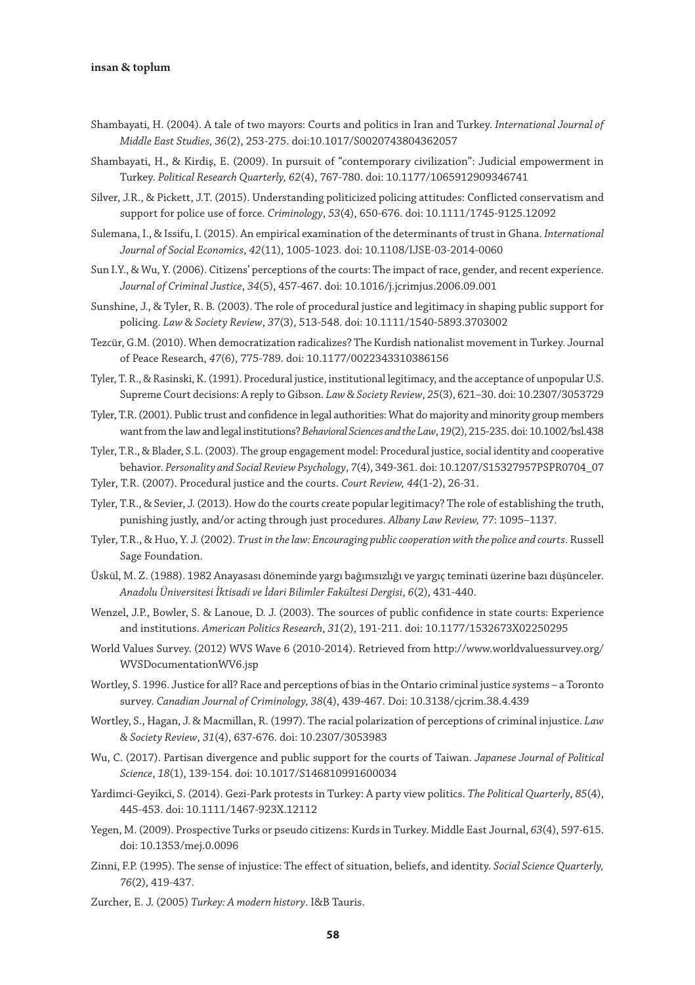#### insan & toplum

- Shambayati, H. (2004). A tale of two mayors: Courts and politics in Iran and Turkey. *International Journal of Middle East Studies, 36*(2), 253-275. doi:10.1017/S0020743804362057
- Shambayati, H., & Kirdiş, E. (2009). In pursuit of "contemporary civilization": Judicial empowerment in Turkey. *Political Research Quarterly, 62*(4), 767-780. doi: 10.1177/1065912909346741
- Silver, J.R., & Pickett, J.T. (2015). Understanding politicized policing attitudes: Conflicted conservatism and support for police use of force. *Criminology*, *53*(4), 650-676. doi: 10.1111/1745-9125.12092
- Sulemana, I., & Issifu, I. (2015). An empirical examination of the determinants of trust in Ghana. *International Journal of Social Economics*, *42*(11), 1005-1023. doi: 10.1108/IJSE-03-2014-0060
- Sun I.Y., & Wu, Y. (2006). Citizens' perceptions of the courts: The impact of race, gender, and recent experience. *Journal of Criminal Justice*, *34*(5), 457-467. doi: 10.1016/j.jcrimjus.2006.09.001
- Sunshine, J., & Tyler, R. B. (2003). The role of procedural justice and legitimacy in shaping public support for policing. *Law & Society Review*, *37*(3), 513-548. doi: 10.1111/1540-5893.3703002
- Tezcür, G.M. (2010). When democratization radicalizes? The Kurdish nationalist movement in Turkey. Journal of Peace Research, *47*(6), 775-789. doi: 10.1177/0022343310386156
- Tyler, T. R., & Rasinski, K. (1991). Procedural justice, institutional legitimacy, and the acceptance of unpopular U.S. Supreme Court decisions: A reply to Gibson. *Law & Society Review*, *25*(3), 621–30. doi: 10.2307/3053729
- Tyler, T.R. (2001). Public trust and confidence in legal authorities: What do majority and minority group members want from the law and legal institutions? *Behavioral Sciences and the Law*, *19*(2), 215-235. doi: 10.1002/bsl.438
- Tyler, T.R., & Blader, S.L. (2003). The group engagement model: Procedural justice, social identity and cooperative behavior. *Personality and Social Review Psychology*, *7*(4), 349-361. doi: 10.1207/S15327957PSPR0704\_07
- Tyler, T.R. (2007). Procedural justice and the courts. *Court Review, 44*(1-2), 26-31.
- Tyler, T.R., & Sevier, J. (2013). How do the courts create popular legitimacy? The role of establishing the truth, punishing justly, and/or acting through just procedures. *Albany Law Review, 77*: 1095–1137.
- Tyler, T.R., & Huo, Y. J. (2002). *Trust in the law: Encouraging public cooperation with the police and courts*. Russell Sage Foundation.
- Üskül, M. Z. (1988). 1982 Anayasası döneminde yargı bağımsızlığı ve yargıç teminati üzerine bazı düşünceler. *Anadolu Üniversitesi İktisadi ve İdari Bilimler Fakültesi Dergisi*, *6*(2), 431-440.
- Wenzel, J.P., Bowler, S. & Lanoue, D. J. (2003). The sources of public confidence in state courts: Experience and institutions. *American Politics Research*, *31*(2), 191-211. doi: 10.1177/1532673X02250295
- World Values Survey. (2012) WVS Wave 6 (2010-2014). Retrieved from http://www.worldvaluessurvey.org/ WVSDocumentationWV6.jsp
- Wortley, S. 1996. Justice for all? Race and perceptions of bias in the Ontario criminal justice systems a Toronto survey. *Canadian Journal of Criminology, 38*(4), 439-467. Doi: 10.3138/cjcrim.38.4.439
- Wortley, S., Hagan, J. & Macmillan, R. (1997). The racial polarization of perceptions of criminal injustice. *Law & Society Review*, *31*(4), 637-676. doi: 10.2307/3053983
- Wu, C. (2017). Partisan divergence and public support for the courts of Taiwan. *Japanese Journal of Political Science*, *18*(1), 139-154. doi: 10.1017/S146810991600034
- Yardimci-Geyikci, S. (2014). Gezi-Park protests in Turkey: A party view politics. *The Political Quarterly*, *85*(4), 445-453. doi: 10.1111/1467-923X.12112
- Yegen, M. (2009). Prospective Turks or pseudo citizens: Kurds in Turkey. Middle East Journal, *63*(4), 597-615. doi: 10.1353/mej.0.0096
- Zinni, F.P. (1995). The sense of injustice: The effect of situation, beliefs, and identity. *Social Science Quarterly, 76*(2), 419-437.
- Zurcher, E. J. (2005) *Turkey: A modern history*. I&B Tauris.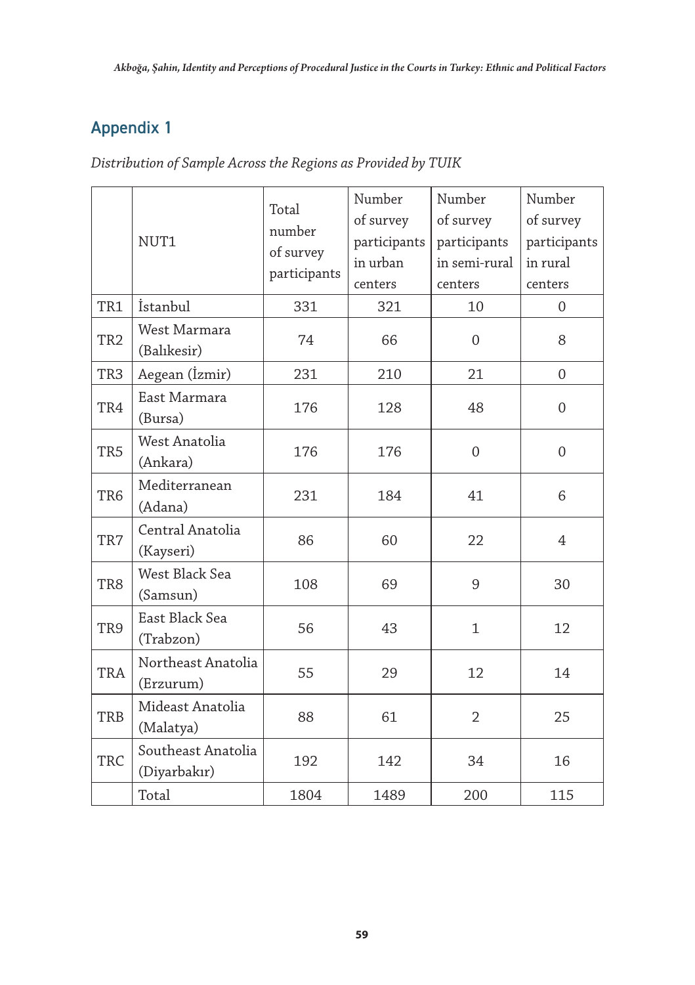# Appendix 1

*Distribution of Sample Across the Regions as Provided by TUIK*

|                 | NUT1                               | Total<br>number<br>of survey<br>participants | Number<br>of survey<br>participants<br>in urban<br>centers | Number<br>of survey<br>participants<br>in semi-rural<br>centers | Number<br>of survey<br>participants<br>in rural<br>centers |
|-----------------|------------------------------------|----------------------------------------------|------------------------------------------------------------|-----------------------------------------------------------------|------------------------------------------------------------|
| TR1             | İstanbul                           | 331                                          | 321                                                        | 10                                                              | $\Omega$                                                   |
| TR <sub>2</sub> | West Marmara<br>(Balıkesir)        | 74                                           | 66                                                         | $\Omega$                                                        | 8                                                          |
| TR3             | Aegean (İzmir)                     | 231                                          | 210                                                        | 21                                                              | $\overline{0}$                                             |
| TR4             | East Marmara<br>(Bursa)            | 176                                          | 128                                                        | 48                                                              | $\mathbf{0}$                                               |
| TR <sub>5</sub> | West Anatolia<br>(Ankara)          | 176                                          | 176                                                        | $\mathbf{0}$                                                    | $\boldsymbol{0}$                                           |
| TR <sub>6</sub> | Mediterranean<br>(Adana)           | 231                                          | 184                                                        | 41                                                              | 6                                                          |
| TR7             | Central Anatolia<br>(Kayseri)      | 86                                           | 60                                                         | 22                                                              | 4                                                          |
| TR8             | West Black Sea<br>(Samsun)         | 108                                          | 69                                                         | 9                                                               | 30                                                         |
| TR9             | East Black Sea<br>(Trabzon)        | 56                                           | 43                                                         | $\mathbf{1}$                                                    | 12                                                         |
| TRA             | Northeast Anatolia<br>(Erzurum)    | 55                                           | 29                                                         | 12                                                              | 14                                                         |
| <b>TRB</b>      | Mideast Anatolia<br>(Malatya)      | 88                                           | 61                                                         | $\overline{2}$                                                  | 25                                                         |
| TRC             | Southeast Anatolia<br>(Diyarbakır) | 192                                          | 142                                                        | 34                                                              | 16                                                         |
|                 | Total                              | 1804                                         | 1489                                                       | 200                                                             | 115                                                        |